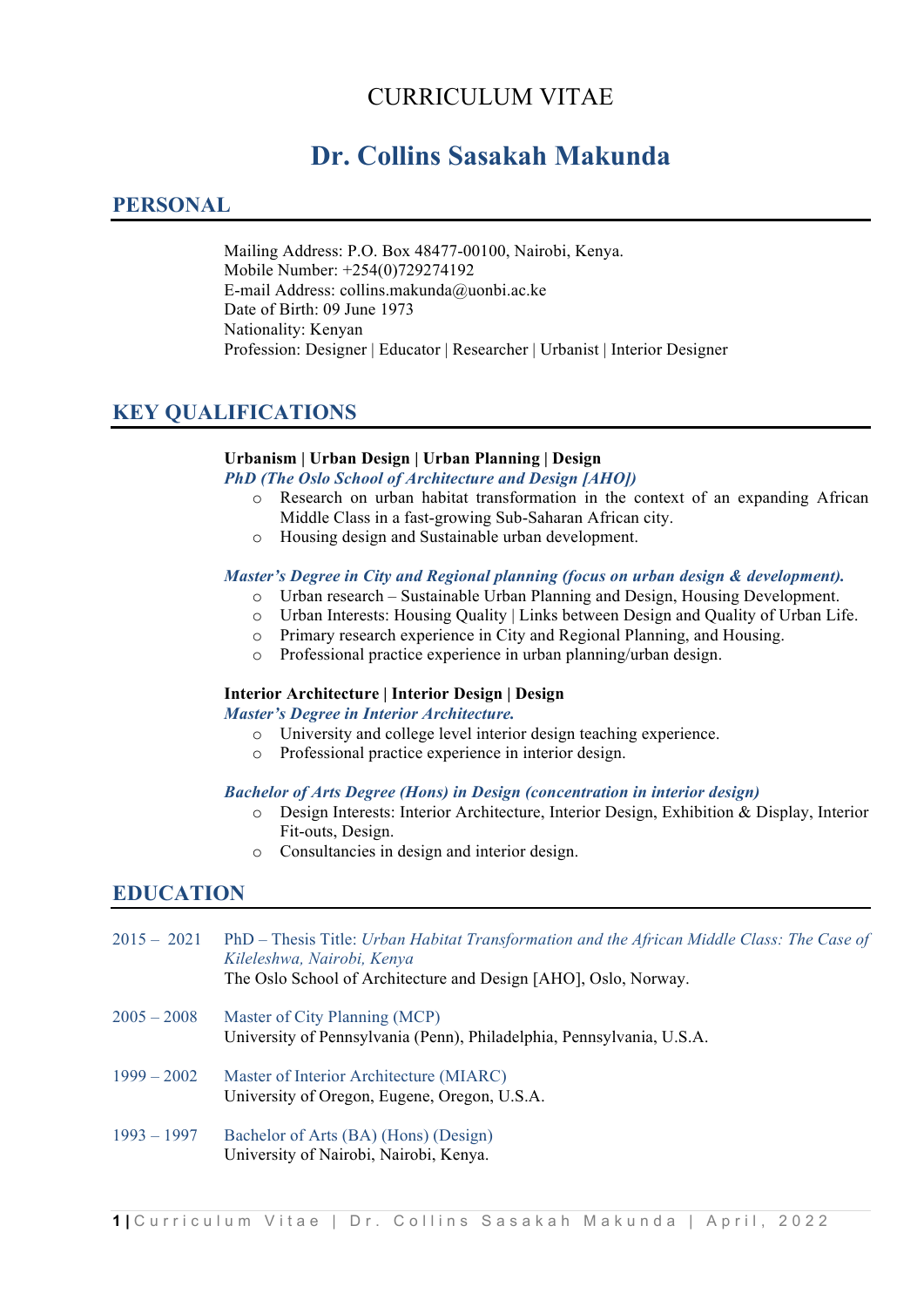# CURRICULUM VITAE

# **Dr. Collins Sasakah Makunda**

# **PERSONAL**

Mailing Address: P.O. Box 48477-00100, Nairobi, Kenya. Mobile Number: +254(0)729274192 E-mail Address: collins.makunda@uonbi.ac.ke Date of Birth: 09 June 1973 Nationality: Kenyan Profession: Designer | Educator | Researcher | Urbanist | Interior Designer

# **KEY QUALIFICATIONS**

#### **Urbanism | Urban Design | Urban Planning | Design**

*PhD (The Oslo School of Architecture and Design [AHO])*

- o Research on urban habitat transformation in the context of an expanding African Middle Class in a fast-growing Sub-Saharan African city.
- o Housing design and Sustainable urban development.

#### *Master's Degree in City and Regional planning (focus on urban design & development).*

- o Urban research Sustainable Urban Planning and Design, Housing Development.
- o Urban Interests: Housing Quality | Links between Design and Quality of Urban Life.
- o Primary research experience in City and Regional Planning, and Housing.
- o Professional practice experience in urban planning/urban design.

#### **Interior Architecture | Interior Design | Design**

#### *Master's Degree in Interior Architecture.*

- o University and college level interior design teaching experience.
- o Professional practice experience in interior design.

#### *Bachelor of Arts Degree (Hons) in Design (concentration in interior design)*

- o Design Interests: Interior Architecture, Interior Design, Exhibition & Display, Interior Fit-outs, Design.
- o Consultancies in design and interior design.

### **EDUCATION**

| $2015 - 2021$ | PhD – Thesis Title: Urban Habitat Transformation and the African Middle Class: The Case of<br>Kileleshwa, Nairobi, Kenya<br>The Oslo School of Architecture and Design [AHO], Oslo, Norway. |
|---------------|---------------------------------------------------------------------------------------------------------------------------------------------------------------------------------------------|
|               |                                                                                                                                                                                             |
| $2005 - 2008$ | Master of City Planning (MCP)<br>University of Pennsylvania (Penn), Philadelphia, Pennsylvania, U.S.A.                                                                                      |
| $1999 - 2002$ | Master of Interior Architecture (MIARC)<br>University of Oregon, Eugene, Oregon, U.S.A.                                                                                                     |
| $1993 - 1997$ | Bachelor of Arts (BA) (Hons) (Design)<br>University of Nairobi, Nairobi, Kenya.                                                                                                             |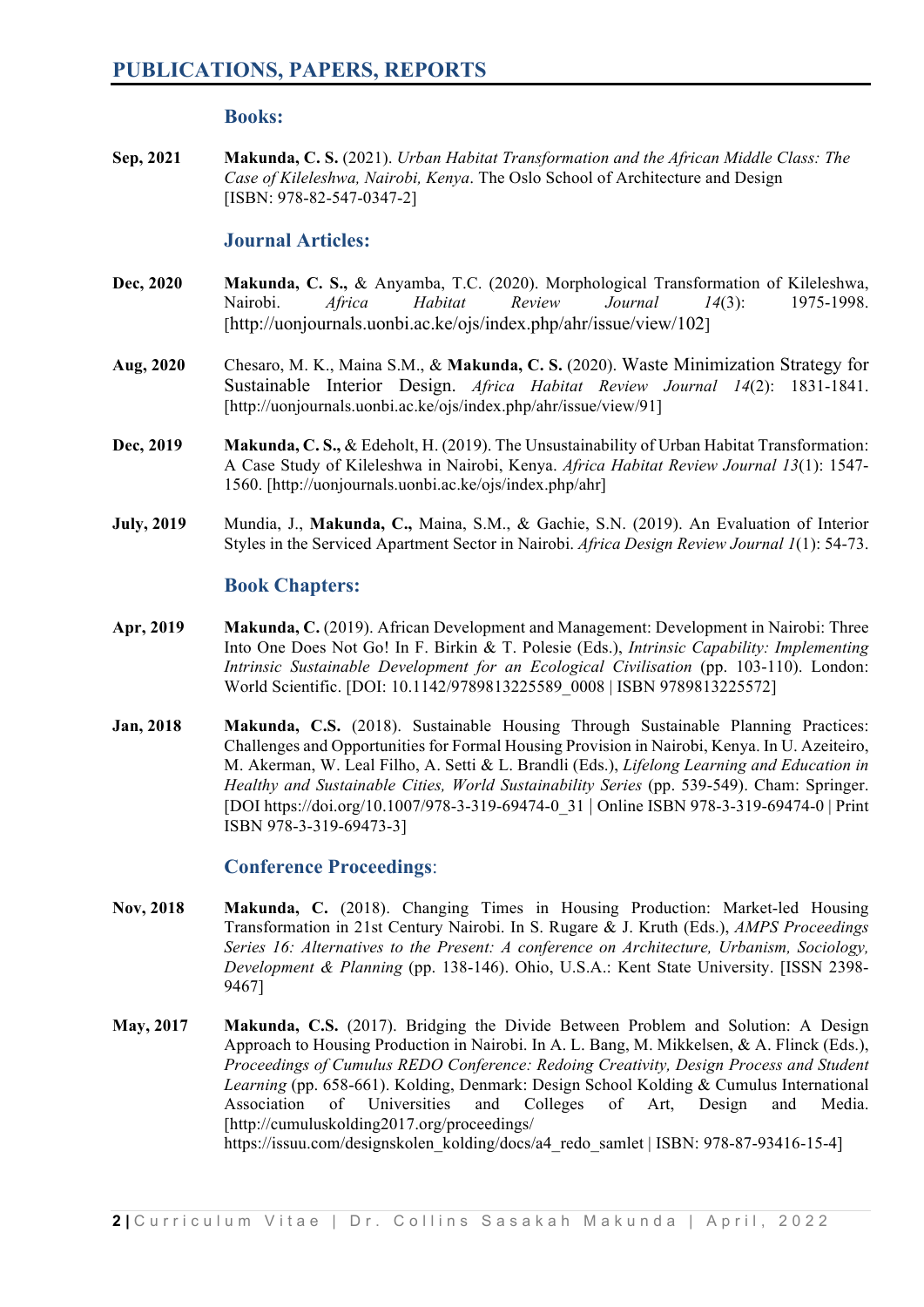#### **Books:**

**Sep, 2021 Makunda, C. S.** (2021). *Urban Habitat Transformation and the African Middle Class: The Case of Kileleshwa, Nairobi, Kenya*. The Oslo School of Architecture and Design [ISBN: 978-82-547-0347-2]

#### **Journal Articles:**

- **Dec, 2020 Makunda, C. S.,** & Anyamba, T.C. (2020). Morphological Transformation of Kileleshwa, Nairobi. *Africa Habitat Review Journal 14*(3): 1975-1998. [http://uonjournals.uonbi.ac.ke/ojs/index.php/ahr/issue/view/102]
- **Aug, 2020** Chesaro, M. K., Maina S.M., & **Makunda, C. S.** (2020). Waste Minimization Strategy for Sustainable Interior Design. *Africa Habitat Review Journal 14*(2): 1831-1841. [http://uonjournals.uonbi.ac.ke/ojs/index.php/ahr/issue/view/91]
- **Dec, 2019 Makunda, C. S.,** & Edeholt, H. (2019). The Unsustainability of Urban Habitat Transformation: A Case Study of Kileleshwa in Nairobi, Kenya. *Africa Habitat Review Journal 13*(1): 1547- 1560. [http://uonjournals.uonbi.ac.ke/ojs/index.php/ahr]
- **July, 2019** Mundia, J., **Makunda, C.,** Maina, S.M., & Gachie, S.N. (2019). An Evaluation of Interior Styles in the Serviced Apartment Sector in Nairobi. *Africa Design Review Journal 1*(1): 54-73.

#### **Book Chapters:**

- **Apr, 2019 Makunda, C.** (2019). African Development and Management: Development in Nairobi: Three Into One Does Not Go! In F. Birkin & T. Polesie (Eds.), *Intrinsic Capability: Implementing Intrinsic Sustainable Development for an Ecological Civilisation* (pp. 103-110). London: World Scientific. [DOI: 10.1142/9789813225589\_0008 | ISBN 9789813225572]
- **Jan, 2018 Makunda, C.S.** (2018). Sustainable Housing Through Sustainable Planning Practices: Challenges and Opportunities for Formal Housing Provision in Nairobi, Kenya. In U. Azeiteiro, M. Akerman, W. Leal Filho, A. Setti & L. Brandli (Eds.), *Lifelong Learning and Education in Healthy and Sustainable Cities, World Sustainability Series* (pp. 539-549). Cham: Springer. [DOI https://doi.org/10.1007/978-3-319-69474-0\_31 | Online ISBN 978-3-319-69474-0 | Print ISBN 978-3-319-69473-3]

### **Conference Proceedings**:

- **Nov, 2018 Makunda, C.** (2018). Changing Times in Housing Production: Market-led Housing Transformation in 21st Century Nairobi. In S. Rugare & J. Kruth (Eds.), *AMPS Proceedings Series 16: Alternatives to the Present: A conference on Architecture, Urbanism, Sociology, Development & Planning* (pp. 138-146). Ohio, U.S.A.: Kent State University. [ISSN 2398- 9467]
- **May, 2017 Makunda, C.S.** (2017). Bridging the Divide Between Problem and Solution: A Design Approach to Housing Production in Nairobi. In A. L. Bang, M. Mikkelsen, & A. Flinck (Eds.), *Proceedings of Cumulus REDO Conference: Redoing Creativity, Design Process and Student Learning* (pp. 658-661). Kolding, Denmark: Design School Kolding & Cumulus International Association of Universities and Colleges of Art, Design and Media. [http://cumuluskolding2017.org/proceedings/ https://issuu.com/designskolen\_kolding/docs/a4\_redo\_samlet | ISBN: 978-87-93416-15-4]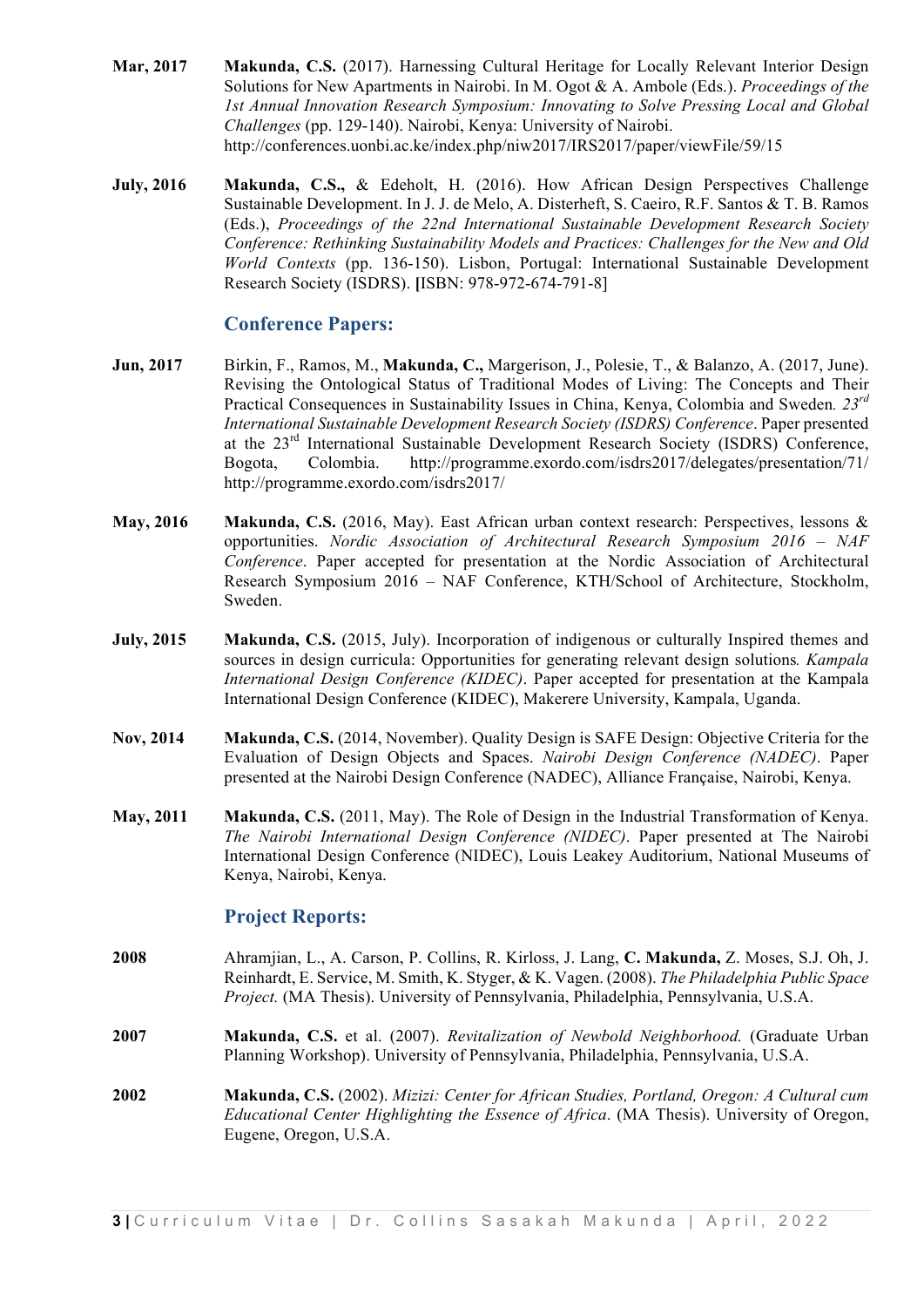- **Mar, 2017 Makunda, C.S.** (2017). Harnessing Cultural Heritage for Locally Relevant Interior Design Solutions for New Apartments in Nairobi. In M. Ogot & A. Ambole (Eds.). *Proceedings of the 1st Annual Innovation Research Symposium: Innovating to Solve Pressing Local and Global Challenges* (pp. 129-140). Nairobi, Kenya: University of Nairobi. http://conferences.uonbi.ac.ke/index.php/niw2017/IRS2017/paper/viewFile/59/15
- **July, 2016 Makunda, C.S.,** & Edeholt, H. (2016). How African Design Perspectives Challenge Sustainable Development. In J. J. de Melo, A. Disterheft, S. Caeiro, R.F. Santos & T. B. Ramos (Eds.), *Proceedings of the 22nd International Sustainable Development Research Society Conference: Rethinking Sustainability Models and Practices: Challenges for the New and Old World Contexts* (pp. 136-150). Lisbon, Portugal: International Sustainable Development Research Society (ISDRS). **[**ISBN: 978-972-674-791-8]

#### **Conference Papers:**

- **Jun, 2017** Birkin, F., Ramos, M., **Makunda, C.,** Margerison, J., Polesie, T., & Balanzo, A. (2017, June). Revising the Ontological Status of Traditional Modes of Living: The Concepts and Their Practical Consequences in Sustainability Issues in China, Kenya, Colombia and Sweden*. 23rd International Sustainable Development Research Society (ISDRS) Conference*. Paper presented at the 23rd International Sustainable Development Research Society (ISDRS) Conference, Bogota, Colombia. http://programme.exordo.com/isdrs2017/delegates/presentation/71/ http://programme.exordo.com/isdrs2017/
- **May, 2016 Makunda, C.S.** (2016, May). East African urban context research: Perspectives, lessons & opportunities. *Nordic Association of Architectural Research Symposium 2016 – NAF Conference*. Paper accepted for presentation at the Nordic Association of Architectural Research Symposium 2016 – NAF Conference, KTH/School of Architecture, Stockholm, Sweden.
- **July, 2015 Makunda, C.S.** (2015, July). Incorporation of indigenous or culturally Inspired themes and sources in design curricula: Opportunities for generating relevant design solutions*. Kampala International Design Conference (KIDEC)*. Paper accepted for presentation at the Kampala International Design Conference (KIDEC), Makerere University, Kampala, Uganda.
- **Nov, 2014 Makunda, C.S.** (2014, November). Quality Design is SAFE Design: Objective Criteria for the Evaluation of Design Objects and Spaces. *Nairobi Design Conference (NADEC)*. Paper presented at the Nairobi Design Conference (NADEC), Alliance Française, Nairobi, Kenya.
- **May, 2011 Makunda, C.S.** (2011, May). The Role of Design in the Industrial Transformation of Kenya. *The Nairobi International Design Conference (NIDEC)*. Paper presented at The Nairobi International Design Conference (NIDEC), Louis Leakey Auditorium, National Museums of Kenya, Nairobi, Kenya.

#### **Project Reports:**

- **2008** Ahramjian, L., A. Carson, P. Collins, R. Kirloss, J. Lang, **C. Makunda,** Z. Moses, S.J. Oh, J. Reinhardt, E. Service, M. Smith, K. Styger, & K. Vagen. (2008). *The Philadelphia Public Space Project.* (MA Thesis). University of Pennsylvania, Philadelphia, Pennsylvania, U.S.A.
- **2007 Makunda, C.S.** et al. (2007). *Revitalization of Newbold Neighborhood.* (Graduate Urban Planning Workshop). University of Pennsylvania, Philadelphia, Pennsylvania, U.S.A.
- **2002 Makunda, C.S.** (2002). *Mizizi: Center for African Studies, Portland, Oregon: A Cultural cum Educational Center Highlighting the Essence of Africa*. (MA Thesis). University of Oregon, Eugene, Oregon, U.S.A.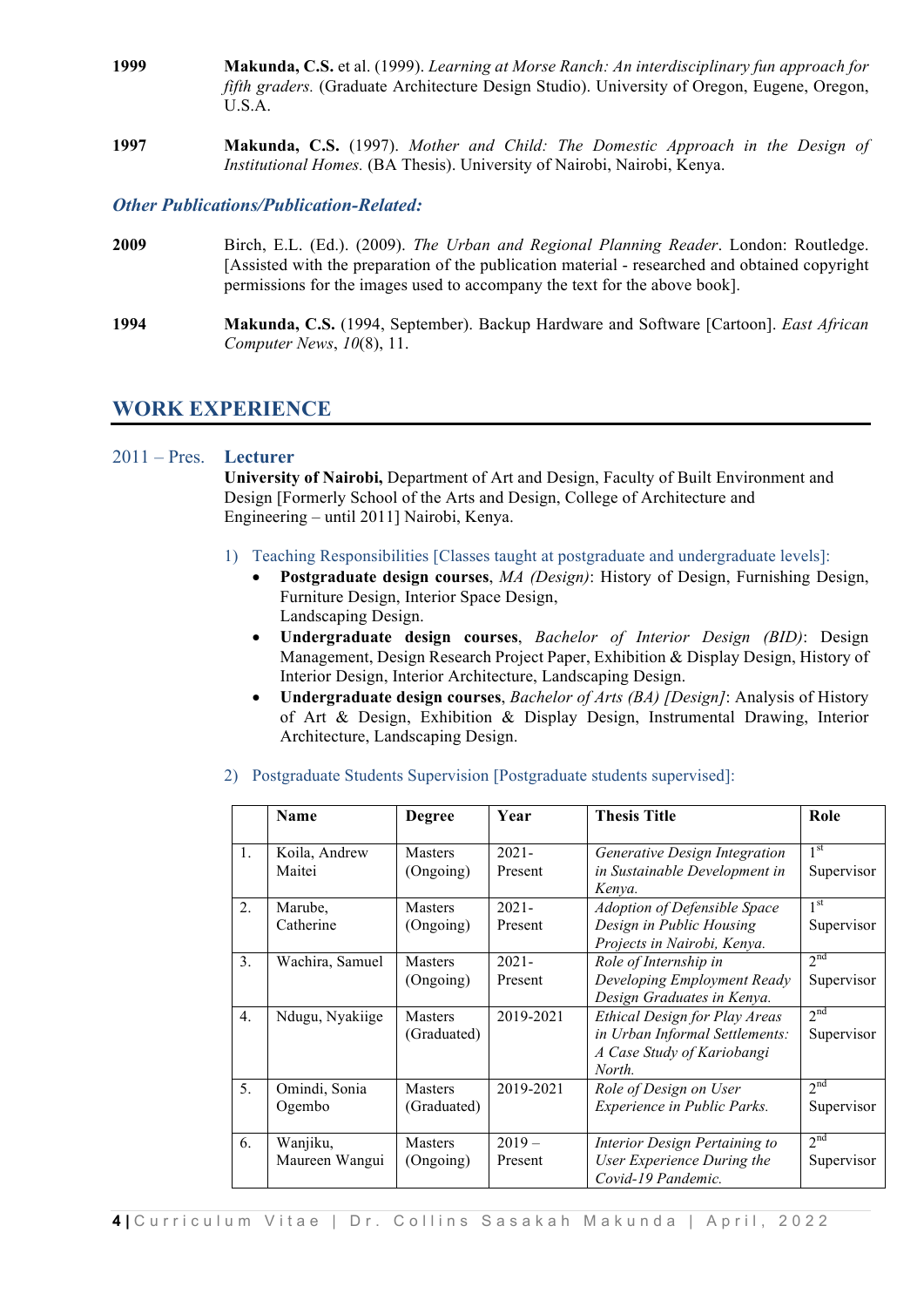- **1999 Makunda, C.S.** et al. (1999). *Learning at Morse Ranch: An interdisciplinary fun approach for fifth graders.* (Graduate Architecture Design Studio). University of Oregon, Eugene, Oregon, U.S.A.
- **1997 Makunda, C.S.** (1997). *Mother and Child: The Domestic Approach in the Design of Institutional Homes.* (BA Thesis). University of Nairobi, Nairobi, Kenya.

#### *Other Publications/Publication-Related:*

- **2009** Birch, E.L. (Ed.). (2009). *The Urban and Regional Planning Reader*. London: Routledge. [Assisted with the preparation of the publication material - researched and obtained copyright permissions for the images used to accompany the text for the above book].
- **1994 Makunda, C.S.** (1994, September). Backup Hardware and Software [Cartoon]. *East African Computer News*, *10*(8), 11.

# **WORK EXPERIENCE**

#### 2011 – Pres. **Lecturer**

**University of Nairobi,** Department of Art and Design, Faculty of Built Environment and Design [Formerly School of the Arts and Design, College of Architecture and Engineering – until 2011] Nairobi, Kenya.

- 1) Teaching Responsibilities [Classes taught at postgraduate and undergraduate levels]:
	- **Postgraduate design courses**, *MA (Design)*: History of Design, Furnishing Design, Furniture Design, Interior Space Design, Landscaping Design.
	- **Undergraduate design courses**, *Bachelor of Interior Design (BID)*: Design Management, Design Research Project Paper, Exhibition & Display Design, History of Interior Design, Interior Architecture, Landscaping Design.
	- **Undergraduate design courses**, *Bachelor of Arts (BA) [Design]*: Analysis of History of Art & Design, Exhibition & Display Design, Instrumental Drawing, Interior Architecture, Landscaping Design.

|                  | <b>Name</b>     | <b>Degree</b>  | Year      | <b>Thesis Title</b>                     | Role                       |
|------------------|-----------------|----------------|-----------|-----------------------------------------|----------------------------|
| 1.               | Koila, Andrew   | <b>Masters</b> | $2021 -$  | Generative Design Integration           | 1 <sup>st</sup>            |
|                  | Maitei          | (Ongoing)      | Present   | in Sustainable Development in<br>Kenya. | Supervisor                 |
| $\overline{2}$ . | Marube,         | <b>Masters</b> | $2021 -$  | <b>Adoption of Defensible Space</b>     | 1 <sup>st</sup>            |
|                  | Catherine       | (Ongoing)      | Present   | Design in Public Housing                | Supervisor                 |
|                  |                 |                |           | Projects in Nairobi, Kenya.             |                            |
| 3.               | Wachira, Samuel | <b>Masters</b> | $2021 -$  | Role of Internship in                   | 2 <sup>nd</sup>            |
|                  |                 | (Ongoing)      | Present   | Developing Employment Ready             | Supervisor                 |
|                  |                 |                |           | Design Graduates in Kenya.              |                            |
| $\overline{4}$ . | Ndugu, Nyakiige | <b>Masters</b> | 2019-2021 | Ethical Design for Play Areas           | 2 <sup>nd</sup>            |
|                  |                 | (Graduated)    |           | in Urban Informal Settlements:          | Supervisor                 |
|                  |                 |                |           | A Case Study of Kariobangi              |                            |
|                  |                 |                |           | North.                                  |                            |
| 5 <sub>1</sub>   | Omindi, Sonia   | <b>Masters</b> | 2019-2021 | Role of Design on User                  | $2^{\overline{\text{nd}}}$ |
|                  | Ogembo          | (Graduated)    |           | Experience in Public Parks.             | Supervisor                 |
|                  |                 |                |           |                                         |                            |
| 6.               | Wanjiku,        | <b>Masters</b> | $2019-$   | Interior Design Pertaining to           | $2^{nd}$                   |
|                  | Maureen Wangui  | (Ongoing)      | Present   | User Experience During the              | Supervisor                 |
|                  |                 |                |           | Covid-19 Pandemic.                      |                            |

2) Postgraduate Students Supervision [Postgraduate students supervised]: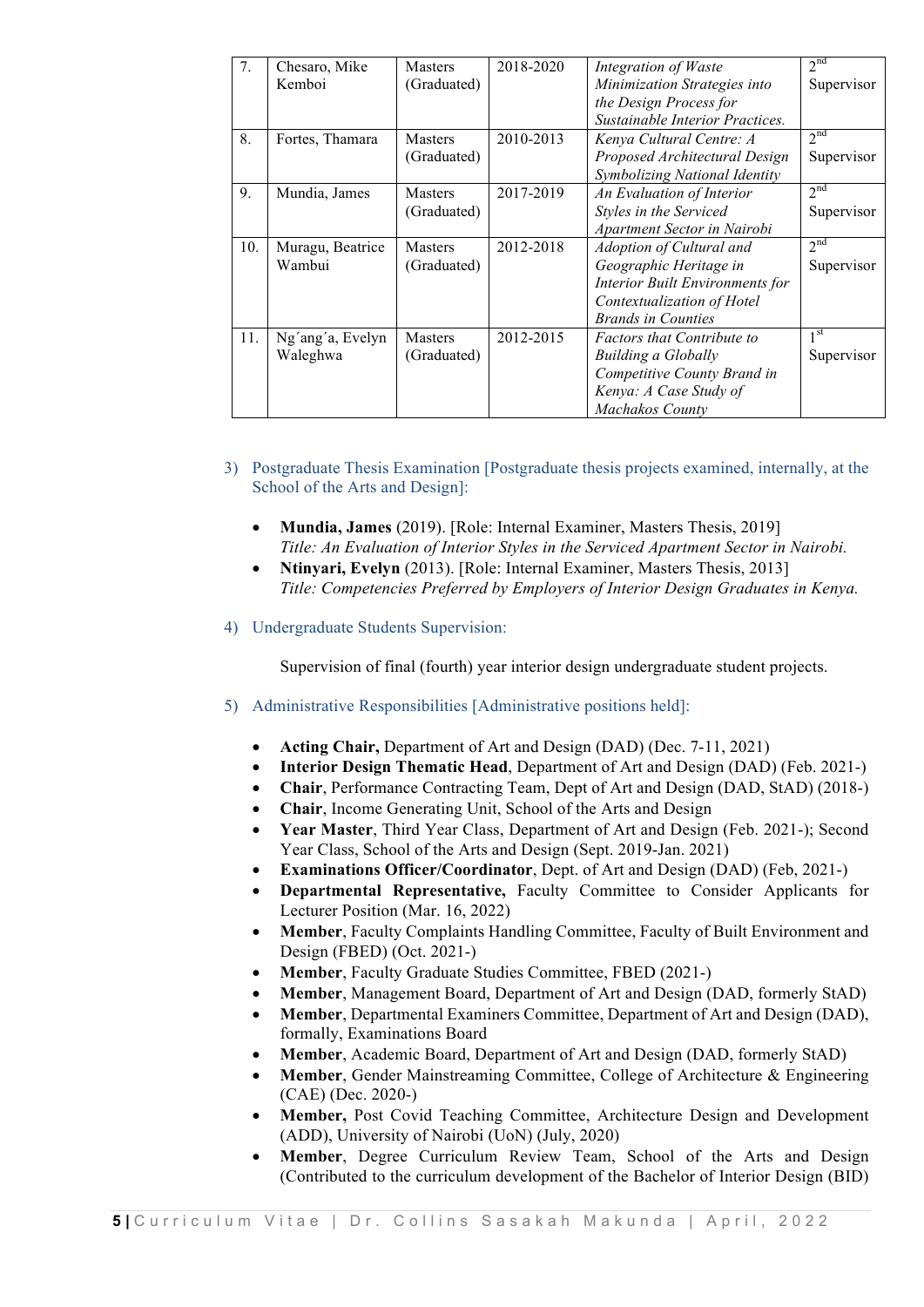| 7.  | Chesaro, Mike    | <b>Masters</b> | 2018-2020 | Integration of Waste              | 2 <sup>nd</sup> |
|-----|------------------|----------------|-----------|-----------------------------------|-----------------|
|     | Kemboi           | (Graduated)    |           | Minimization Strategies into      | Supervisor      |
|     |                  |                |           | the Design Process for            |                 |
|     |                  |                |           | Sustainable Interior Practices.   |                 |
| 8.  | Fortes, Thamara  | <b>Masters</b> | 2010-2013 | Kenya Cultural Centre: A          | 2 <sup>nd</sup> |
|     |                  | (Graduated)    |           | Proposed Architectural Design     | Supervisor      |
|     |                  |                |           | Symbolizing National Identity     |                 |
| 9.  | Mundia, James    | <b>Masters</b> | 2017-2019 | An Evaluation of Interior         | 2 <sup>nd</sup> |
|     |                  | (Graduated)    |           | Styles in the Serviced            | Supervisor      |
|     |                  |                |           | Apartment Sector in Nairobi       |                 |
| 10. | Muragu, Beatrice | <b>Masters</b> | 2012-2018 | Adoption of Cultural and          | 2 <sup>nd</sup> |
|     | Wambui           | (Graduated)    |           | Geographic Heritage in            | Supervisor      |
|     |                  |                |           | Interior Built Environments for   |                 |
|     |                  |                |           | Contextualization of Hotel        |                 |
|     |                  |                |           | <b>Brands in Counties</b>         |                 |
| 11. | Ng'ang'a, Evelyn | <b>Masters</b> | 2012-2015 | <b>Factors that Contribute to</b> | 1 <sup>st</sup> |
|     | Waleghwa         | (Graduated)    |           | <b>Building a Globally</b>        | Supervisor      |
|     |                  |                |           | Competitive County Brand in       |                 |
|     |                  |                |           | Kenya: A Case Study of            |                 |
|     |                  |                |           | Machakos County                   |                 |

- 3) Postgraduate Thesis Examination [Postgraduate thesis projects examined, internally, at the School of the Arts and Design]:
	- **Mundia, James** (2019). [Role: Internal Examiner, Masters Thesis, 2019] *Title: An Evaluation of Interior Styles in the Serviced Apartment Sector in Nairobi.*
	- **Ntinyari, Evelyn** (2013). [Role: Internal Examiner, Masters Thesis, 2013] *Title: Competencies Preferred by Employers of Interior Design Graduates in Kenya.*
- 4) Undergraduate Students Supervision:

Supervision of final (fourth) year interior design undergraduate student projects.

- 5) Administrative Responsibilities [Administrative positions held]:
	- **Acting Chair,** Department of Art and Design (DAD) (Dec. 7-11, 2021)
	- **Interior Design Thematic Head**, Department of Art and Design (DAD) (Feb. 2021-)
	- **Chair**, Performance Contracting Team, Dept of Art and Design (DAD, StAD) (2018-)
	- **Chair**, Income Generating Unit, School of the Arts and Design
	- **Year Master**, Third Year Class, Department of Art and Design (Feb. 2021-); Second Year Class, School of the Arts and Design (Sept. 2019-Jan. 2021)
	- **Examinations Officer/Coordinator**, Dept. of Art and Design (DAD) (Feb, 2021-)
	- **Departmental Representative,** Faculty Committee to Consider Applicants for Lecturer Position (Mar. 16, 2022)
	- **Member**, Faculty Complaints Handling Committee, Faculty of Built Environment and Design (FBED) (Oct. 2021-)
	- **Member**, Faculty Graduate Studies Committee, FBED (2021-)
	- **Member**, Management Board, Department of Art and Design (DAD, formerly StAD)
	- **Member**, Departmental Examiners Committee, Department of Art and Design (DAD), formally, Examinations Board
	- **Member**, Academic Board, Department of Art and Design (DAD, formerly StAD)
	- **Member**, Gender Mainstreaming Committee, College of Architecture & Engineering (CAE) (Dec. 2020-)
	- **Member,** Post Covid Teaching Committee, Architecture Design and Development (ADD), University of Nairobi (UoN) (July, 2020)
	- **Member**, Degree Curriculum Review Team, School of the Arts and Design (Contributed to the curriculum development of the Bachelor of Interior Design (BID)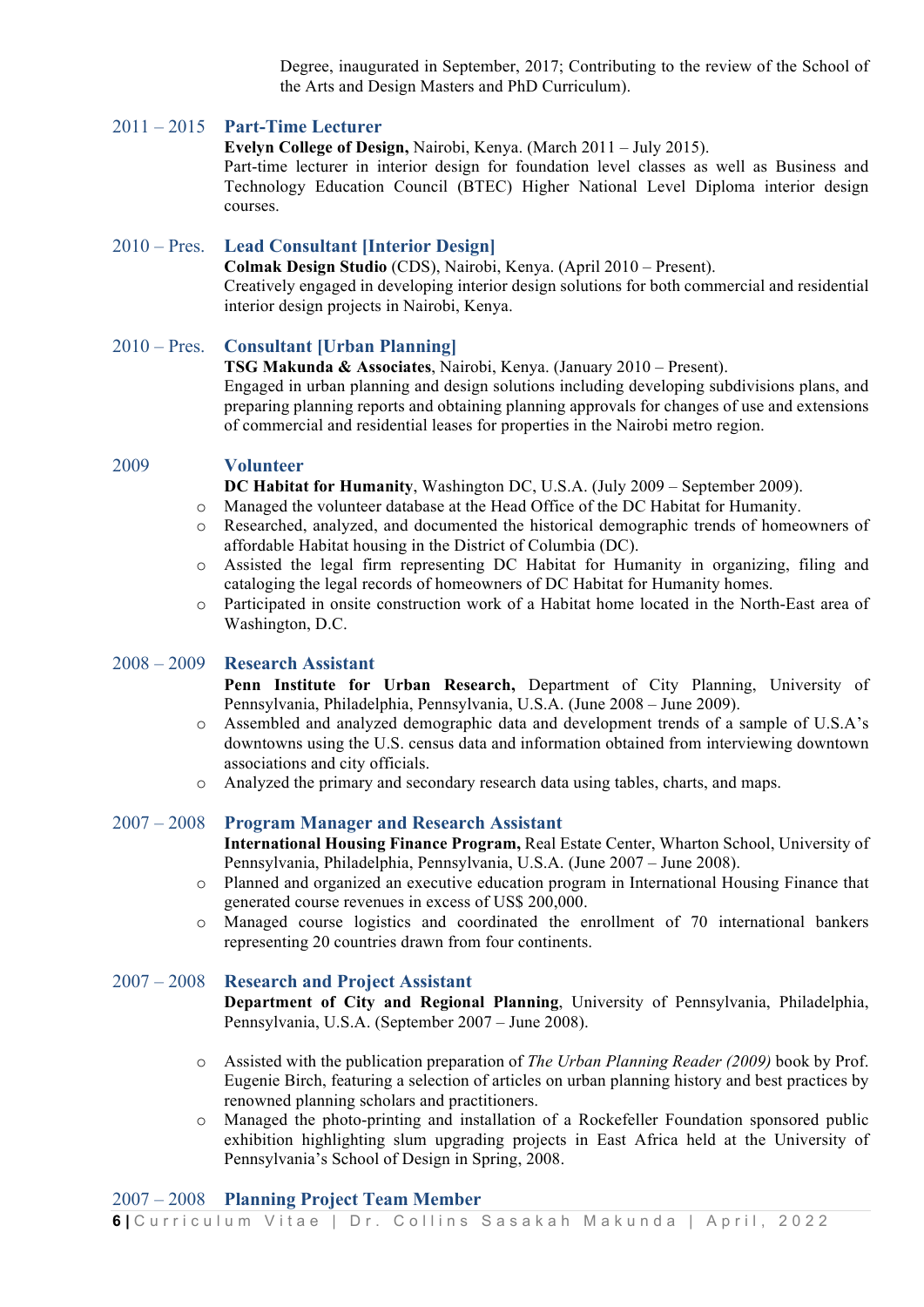Degree, inaugurated in September, 2017; Contributing to the review of the School of the Arts and Design Masters and PhD Curriculum).

#### 2011 – 2015 **Part-Time Lecturer**

**Evelyn College of Design,** Nairobi, Kenya. (March 2011 – July 2015).

Part-time lecturer in interior design for foundation level classes as well as Business and Technology Education Council (BTEC) Higher National Level Diploma interior design courses.

#### 2010 – Pres. **Lead Consultant [Interior Design]**

**Colmak Design Studio** (CDS), Nairobi, Kenya. (April 2010 – Present). Creatively engaged in developing interior design solutions for both commercial and residential interior design projects in Nairobi, Kenya.

#### 2010 – Pres. **Consultant [Urban Planning]**

**TSG Makunda & Associates**, Nairobi, Kenya. (January 2010 – Present).

Engaged in urban planning and design solutions including developing subdivisions plans, and preparing planning reports and obtaining planning approvals for changes of use and extensions of commercial and residential leases for properties in the Nairobi metro region.

#### 2009 **Volunteer**

**DC Habitat for Humanity**, Washington DC, U.S.A. (July 2009 – September 2009).

o Managed the volunteer database at the Head Office of the DC Habitat for Humanity.

- o Researched, analyzed, and documented the historical demographic trends of homeowners of affordable Habitat housing in the District of Columbia (DC).
- o Assisted the legal firm representing DC Habitat for Humanity in organizing, filing and cataloging the legal records of homeowners of DC Habitat for Humanity homes.
- o Participated in onsite construction work of a Habitat home located in the North-East area of Washington, D.C.

#### 2008 – 2009 **Research Assistant**

**Penn Institute for Urban Research,** Department of City Planning, University of Pennsylvania, Philadelphia, Pennsylvania, U.S.A. (June 2008 – June 2009).

- o Assembled and analyzed demographic data and development trends of a sample of U.S.A's downtowns using the U.S. census data and information obtained from interviewing downtown associations and city officials.
- o Analyzed the primary and secondary research data using tables, charts, and maps.

#### 2007 – 2008 **Program Manager and Research Assistant**

**International Housing Finance Program,** Real Estate Center, Wharton School, University of Pennsylvania, Philadelphia, Pennsylvania, U.S.A. (June 2007 – June 2008).

- o Planned and organized an executive education program in International Housing Finance that generated course revenues in excess of US\$ 200,000.
- o Managed course logistics and coordinated the enrollment of 70 international bankers representing 20 countries drawn from four continents.

#### 2007 – 2008 **Research and Project Assistant**

**Department of City and Regional Planning**, University of Pennsylvania, Philadelphia, Pennsylvania, U.S.A. (September 2007 – June 2008).

- o Assisted with the publication preparation of *The Urban Planning Reader (2009)* book by Prof. Eugenie Birch, featuring a selection of articles on urban planning history and best practices by renowned planning scholars and practitioners.
- o Managed the photo-printing and installation of a Rockefeller Foundation sponsored public exhibition highlighting slum upgrading projects in East Africa held at the University of Pennsylvania's School of Design in Spring, 2008.

### 2007 – 2008 **Planning Project Team Member**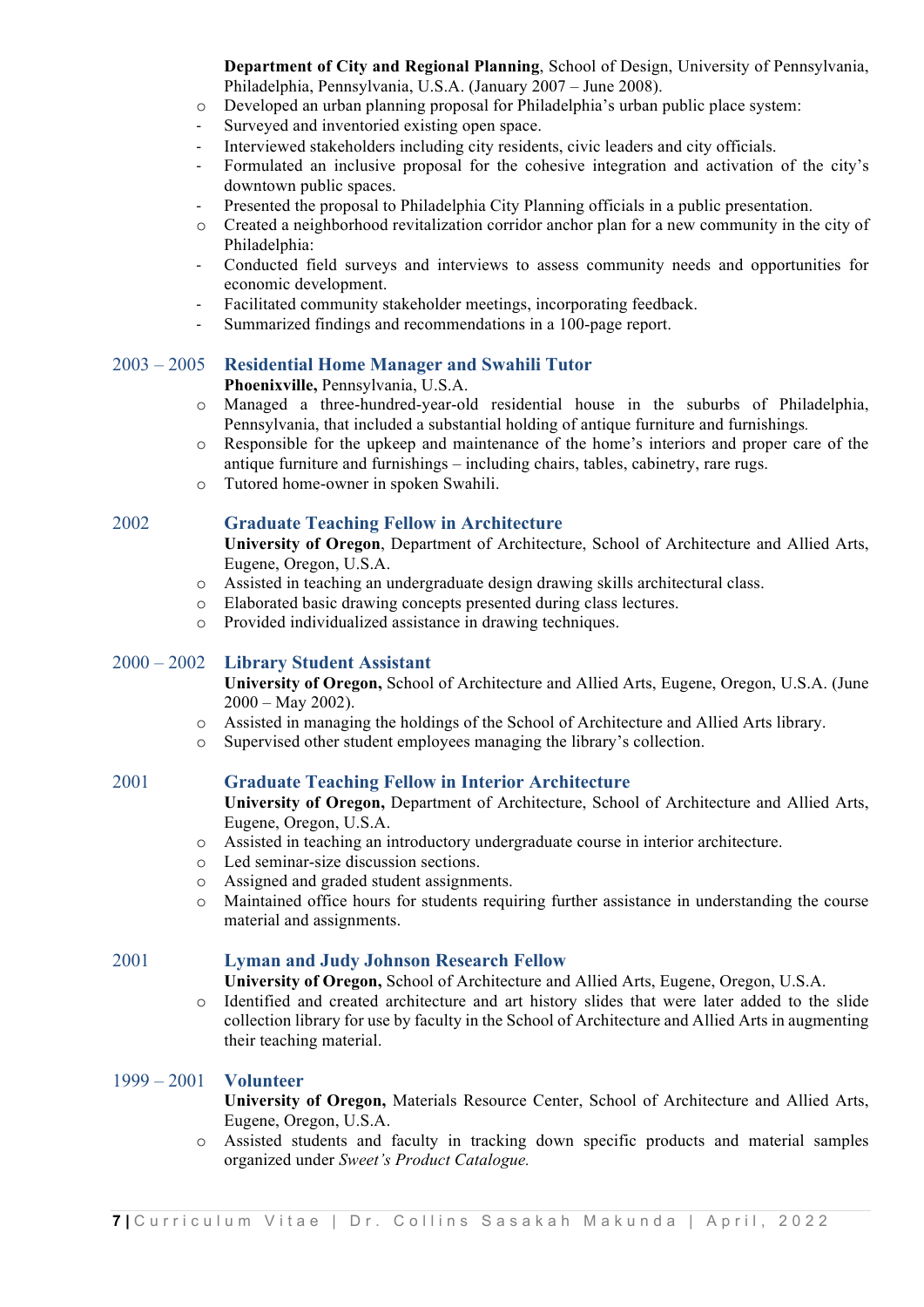**Department of City and Regional Planning**, School of Design, University of Pennsylvania, Philadelphia, Pennsylvania, U.S.A. (January 2007 – June 2008).

- o Developed an urban planning proposal for Philadelphia's urban public place system:
- Surveyed and inventoried existing open space.
- Interviewed stakeholders including city residents, civic leaders and city officials.
- Formulated an inclusive proposal for the cohesive integration and activation of the city's downtown public spaces.
- Presented the proposal to Philadelphia City Planning officials in a public presentation.
- o Created a neighborhood revitalization corridor anchor plan for a new community in the city of Philadelphia:
- Conducted field surveys and interviews to assess community needs and opportunities for economic development.
- Facilitated community stakeholder meetings, incorporating feedback.
- Summarized findings and recommendations in a 100-page report.

#### 2003 – 2005 **Residential Home Manager and Swahili Tutor**

#### **Phoenixville,** Pennsylvania, U.S.A.

- o Managed a three-hundred-year-old residential house in the suburbs of Philadelphia, Pennsylvania, that included a substantial holding of antique furniture and furnishings*.*
- o Responsible for the upkeep and maintenance of the home's interiors and proper care of the antique furniture and furnishings – including chairs, tables, cabinetry, rare rugs.
- o Tutored home-owner in spoken Swahili.

#### 2002 **Graduate Teaching Fellow in Architecture**

**University of Oregon**, Department of Architecture, School of Architecture and Allied Arts, Eugene, Oregon, U.S.A.

- o Assisted in teaching an undergraduate design drawing skills architectural class.
- o Elaborated basic drawing concepts presented during class lectures.
- o Provided individualized assistance in drawing techniques.

#### 2000 – 2002 **Library Student Assistant**

**University of Oregon,** School of Architecture and Allied Arts, Eugene, Oregon, U.S.A. (June  $2000 - May 2002$ ).

- o Assisted in managing the holdings of the School of Architecture and Allied Arts library.
- o Supervised other student employees managing the library's collection.

#### 2001 **Graduate Teaching Fellow in Interior Architecture**

**University of Oregon,** Department of Architecture, School of Architecture and Allied Arts, Eugene, Oregon, U.S.A.

- o Assisted in teaching an introductory undergraduate course in interior architecture.
- o Led seminar-size discussion sections.
- o Assigned and graded student assignments.
- o Maintained office hours for students requiring further assistance in understanding the course material and assignments.

#### 2001 **Lyman and Judy Johnson Research Fellow**

**University of Oregon,** School of Architecture and Allied Arts, Eugene, Oregon, U.S.A.

o Identified and created architecture and art history slides that were later added to the slide collection library for use by faculty in the School of Architecture and Allied Arts in augmenting their teaching material.

#### 1999 – 2001 **Volunteer**

**University of Oregon,** Materials Resource Center, School of Architecture and Allied Arts, Eugene, Oregon, U.S.A.

o Assisted students and faculty in tracking down specific products and material samples organized under *Sweet's Product Catalogue.*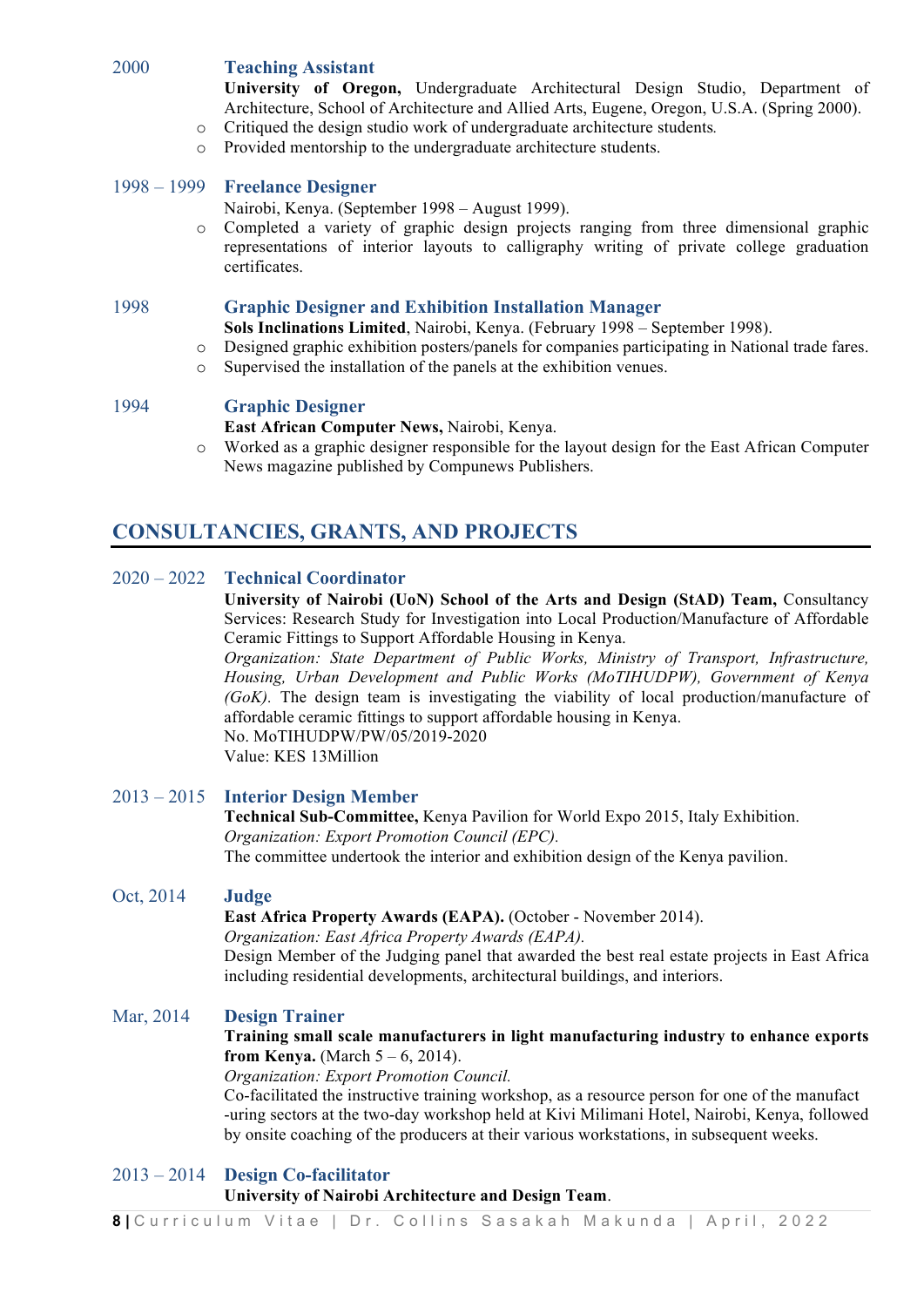#### 2000 **Teaching Assistant**

**University of Oregon,** Undergraduate Architectural Design Studio, Department of Architecture, School of Architecture and Allied Arts, Eugene, Oregon, U.S.A. (Spring 2000).

- o Critiqued the design studio work of undergraduate architecture students*.*
- o Provided mentorship to the undergraduate architecture students.

#### 1998 – 1999 **Freelance Designer**

Nairobi, Kenya. (September 1998 – August 1999).

o Completed a variety of graphic design projects ranging from three dimensional graphic representations of interior layouts to calligraphy writing of private college graduation certificates.

#### 1998 **Graphic Designer and Exhibition Installation Manager**

- **Sols Inclinations Limited**, Nairobi, Kenya. (February 1998 September 1998).
- o Designed graphic exhibition posters/panels for companies participating in National trade fares.
- o Supervised the installation of the panels at the exhibition venues.

#### 1994 **Graphic Designer**

**East African Computer News,** Nairobi, Kenya.

o Worked as a graphic designer responsible for the layout design for the East African Computer News magazine published by Compunews Publishers.

# **CONSULTANCIES, GRANTS, AND PROJECTS**

#### 2020 – 2022 **Technical Coordinator**

**University of Nairobi (UoN) School of the Arts and Design (StAD) Team,** Consultancy Services: Research Study for Investigation into Local Production/Manufacture of Affordable Ceramic Fittings to Support Affordable Housing in Kenya.

*Organization: State Department of Public Works, Ministry of Transport, Infrastructure, Housing, Urban Development and Public Works (MoTIHUDPW), Government of Kenya (GoK).* The design team is investigating the viability of local production/manufacture of affordable ceramic fittings to support affordable housing in Kenya. No. MoTIHUDPW/PW/05/2019-2020

Value: KES 13Million

#### 2013 – 2015 **Interior Design Member**

**Technical Sub-Committee,** Kenya Pavilion for World Expo 2015, Italy Exhibition. *Organization: Export Promotion Council (EPC).* The committee undertook the interior and exhibition design of the Kenya pavilion.

#### Oct, 2014 **Judge**

**East Africa Property Awards (EAPA).** (October - November 2014).

*Organization: East Africa Property Awards (EAPA).*

Design Member of the Judging panel that awarded the best real estate projects in East Africa including residential developments, architectural buildings, and interiors.

#### Mar, 2014 **Design Trainer**

#### **Training small scale manufacturers in light manufacturing industry to enhance exports from Kenya.** (March  $5 - 6$ , 2014).

*Organization: Export Promotion Council.*

Co-facilitated the instructive training workshop, as a resource person for one of the manufact -uring sectors at the two-day workshop held at Kivi Milimani Hotel, Nairobi, Kenya, followed by onsite coaching of the producers at their various workstations, in subsequent weeks.

#### 2013 – 2014 **Design Co-facilitator**

#### **University of Nairobi Architecture and Design Team**.

**8 |** Curriculum Vitae | Dr. Collins Sasakah Makunda | April, 2022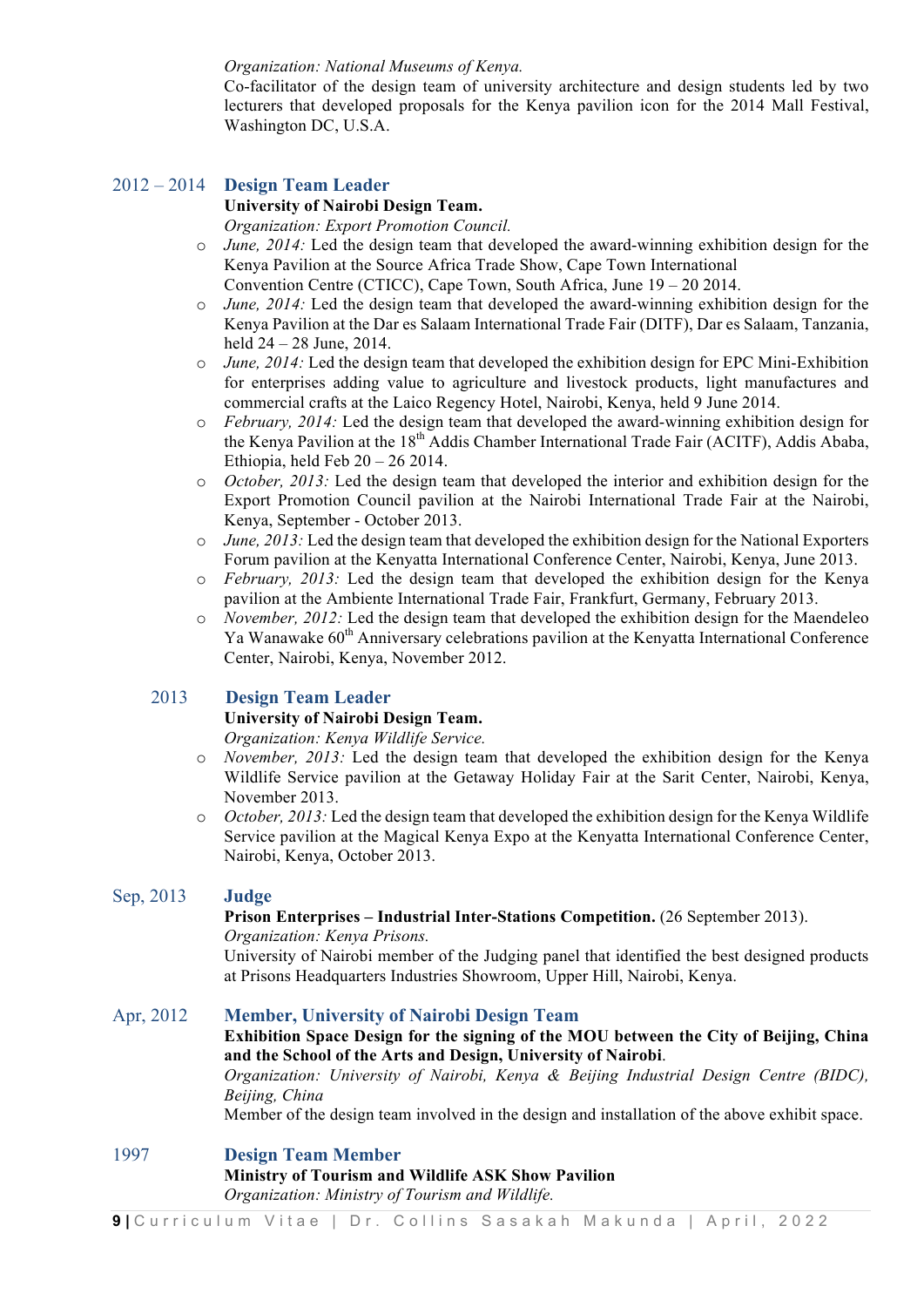#### *Organization: National Museums of Kenya.*

Co-facilitator of the design team of university architecture and design students led by two lecturers that developed proposals for the Kenya pavilion icon for the 2014 Mall Festival, Washington DC, U.S.A.

# 2012 – 2014 **Design Team Leader**

#### **University of Nairobi Design Team.**

*Organization: Export Promotion Council.*

- o *June, 2014:* Led the design team that developed the award-winning exhibition design for the Kenya Pavilion at the Source Africa Trade Show, Cape Town International Convention Centre (CTICC), Cape Town, South Africa, June 19 – 20 2014.
- o *June, 2014:* Led the design team that developed the award-winning exhibition design for the Kenya Pavilion at the Dar es Salaam International Trade Fair (DITF), Dar es Salaam, Tanzania, held 24 – 28 June, 2014.
- o *June, 2014:* Led the design team that developed the exhibition design for EPC Mini-Exhibition for enterprises adding value to agriculture and livestock products, light manufactures and commercial crafts at the Laico Regency Hotel, Nairobi, Kenya, held 9 June 2014.
- o *February, 2014:* Led the design team that developed the award-winning exhibition design for the Kenya Pavilion at the 18<sup>th</sup> Addis Chamber International Trade Fair (ACITF), Addis Ababa, Ethiopia, held Feb  $20 - 262014$ .
- o *October, 2013:* Led the design team that developed the interior and exhibition design for the Export Promotion Council pavilion at the Nairobi International Trade Fair at the Nairobi, Kenya, September - October 2013.
- o *June, 2013:* Led the design team that developed the exhibition design for the National Exporters Forum pavilion at the Kenyatta International Conference Center, Nairobi, Kenya, June 2013.
- o *February, 2013:* Led the design team that developed the exhibition design for the Kenya pavilion at the Ambiente International Trade Fair, Frankfurt, Germany, February 2013.
- o *November, 2012:* Led the design team that developed the exhibition design for the Maendeleo Ya Wanawake 60<sup>th</sup> Anniversary celebrations pavilion at the Kenyatta International Conference Center, Nairobi, Kenya, November 2012.

#### 2013 **Design Team Leader**

#### **University of Nairobi Design Team.**

*Organization: Kenya Wildlife Service.*

- o *November, 2013:* Led the design team that developed the exhibition design for the Kenya Wildlife Service pavilion at the Getaway Holiday Fair at the Sarit Center, Nairobi, Kenya, November 2013.
- o *October, 2013:* Led the design team that developed the exhibition design for the Kenya Wildlife Service pavilion at the Magical Kenya Expo at the Kenyatta International Conference Center, Nairobi, Kenya, October 2013.

#### Sep, 2013 **Judge**

#### **Prison Enterprises – Industrial Inter-Stations Competition.** (26 September 2013). *Organization: Kenya Prisons.*

University of Nairobi member of the Judging panel that identified the best designed products at Prisons Headquarters Industries Showroom, Upper Hill, Nairobi, Kenya.

#### Apr, 2012 **Member, University of Nairobi Design Team**

#### **Exhibition Space Design for the signing of the MOU between the City of Beijing, China and the School of the Arts and Design, University of Nairobi**.

*Organization: University of Nairobi, Kenya & Beijing Industrial Design Centre (BIDC), Beijing, China*

Member of the design team involved in the design and installation of the above exhibit space.

#### 1997 **Design Team Member**

#### **Ministry of Tourism and Wildlife ASK Show Pavilion** *Organization: Ministry of Tourism and Wildlife.*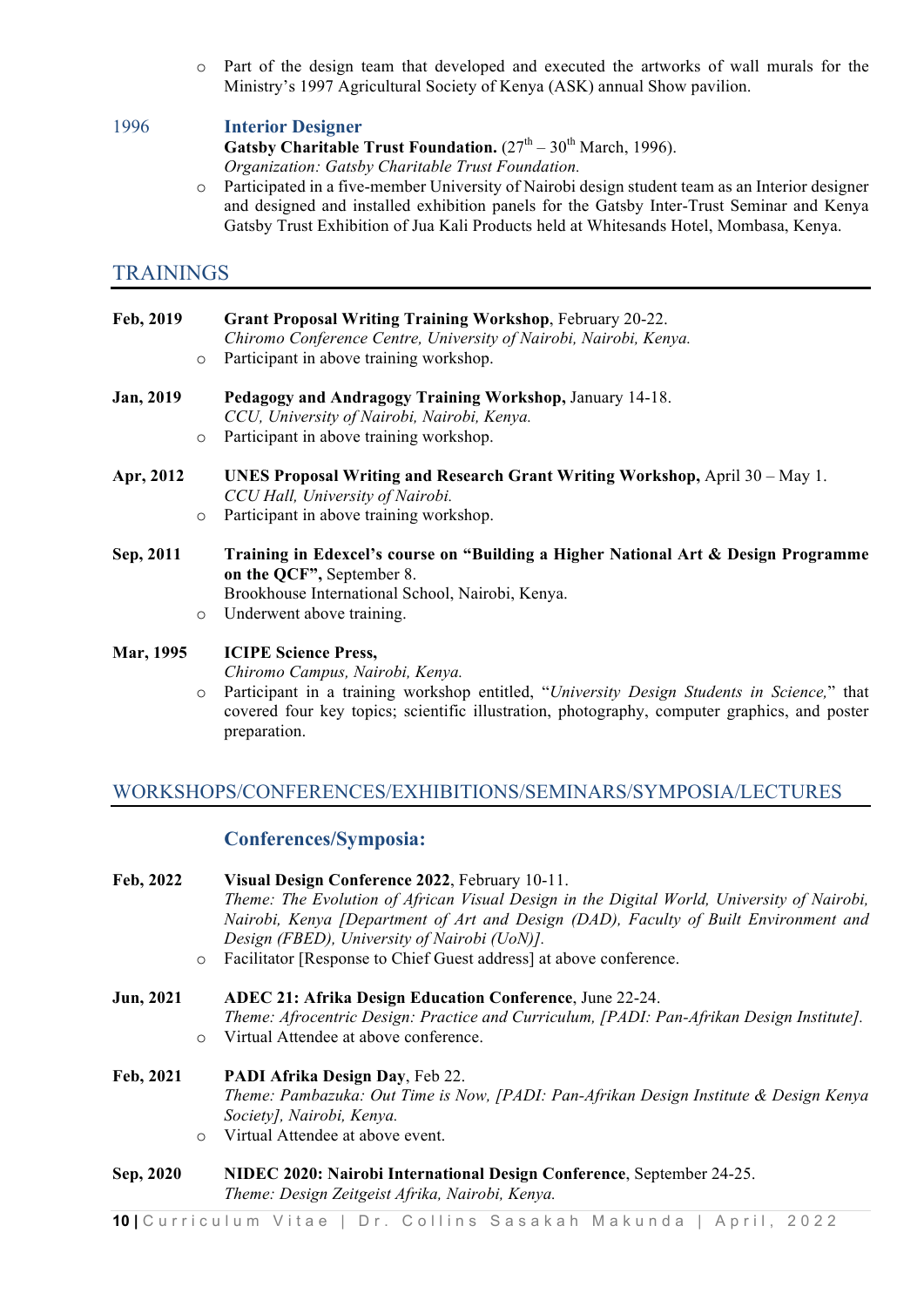o Part of the design team that developed and executed the artworks of wall murals for the Ministry's 1997 Agricultural Society of Kenya (ASK) annual Show pavilion.

#### 1996 **Interior Designer**

**Gatsby Charitable Trust Foundation.**  $(27<sup>th</sup> - 30<sup>th</sup>$  March, 1996). *Organization: Gatsby Charitable Trust Foundation.*

o Participated in a five-member University of Nairobi design student team as an Interior designer and designed and installed exhibition panels for the Gatsby Inter-Trust Seminar and Kenya Gatsby Trust Exhibition of Jua Kali Products held at Whitesands Hotel, Mombasa, Kenya.

#### TRAININGS

| Feb, 2019        |         | <b>Grant Proposal Writing Training Workshop, February 20-22.</b><br>Chiromo Conference Centre, University of Nairobi, Nairobi, Kenya. |
|------------------|---------|---------------------------------------------------------------------------------------------------------------------------------------|
|                  | $\circ$ | Participant in above training workshop.                                                                                               |
| <b>Jan, 2019</b> |         | Pedagogy and Andragogy Training Workshop, January 14-18.<br>CCU, University of Nairobi, Nairobi, Kenya.                               |
|                  | $\circ$ | Participant in above training workshop.                                                                                               |
| Apr, 2012        |         | UNES Proposal Writing and Research Grant Writing Workshop, April $30 - May 1$ .<br>CCU Hall, University of Nairobi.                   |
|                  | $\circ$ | Participant in above training workshop.                                                                                               |
| Sep, 2011        |         | Training in Edexcel's course on "Building a Higher National Art & Design Programme<br>on the QCF", September 8.                       |
|                  |         | Brookhouse International School, Nairobi, Kenya.                                                                                      |
|                  | $\circ$ | Underwent above training.                                                                                                             |
| <b>Mar, 1995</b> |         | <b>ICIPE Science Press,</b>                                                                                                           |

*Chiromo Campus, Nairobi, Kenya.*

o Participant in a training workshop entitled, "*University Design Students in Science,*" that covered four key topics; scientific illustration, photography, computer graphics, and poster preparation.

### WORKSHOPS/CONFERENCES/EXHIBITIONS/SEMINARS/SYMPOSIA/LECTURES

#### **Conferences/Symposia:**

| Feb, 2022 | $\circ$ | Visual Design Conference 2022, February 10-11.<br>Theme: The Evolution of African Visual Design in the Digital World, University of Nairobi,<br>Nairobi, Kenya [Department of Art and Design (DAD), Faculty of Built Environment and<br>Design (FBED), University of Nairobi (UoN)].<br>Facilitator [Response to Chief Guest address] at above conference. |
|-----------|---------|------------------------------------------------------------------------------------------------------------------------------------------------------------------------------------------------------------------------------------------------------------------------------------------------------------------------------------------------------------|
| Jun, 2021 | $\circ$ | <b>ADEC 21: Afrika Design Education Conference, June 22-24.</b><br>Theme: Afrocentric Design: Practice and Curriculum, [PADI: Pan-Afrikan Design Institute].<br>Virtual Attendee at above conference.                                                                                                                                                      |
| Feb, 2021 | $\circ$ | PADI Afrika Design Day, Feb 22.<br>Theme: Pambazuka: Out Time is Now, [PADI: Pan-Afrikan Design Institute & Design Kenya<br>Society], Nairobi, Kenya.<br>Virtual Attendee at above event.                                                                                                                                                                  |
| Sep, 2020 |         | NIDEC 2020: Nairobi International Design Conference, September 24-25.<br>Theme: Design Zeitgeist Afrika, Nairobi, Kenya.                                                                                                                                                                                                                                   |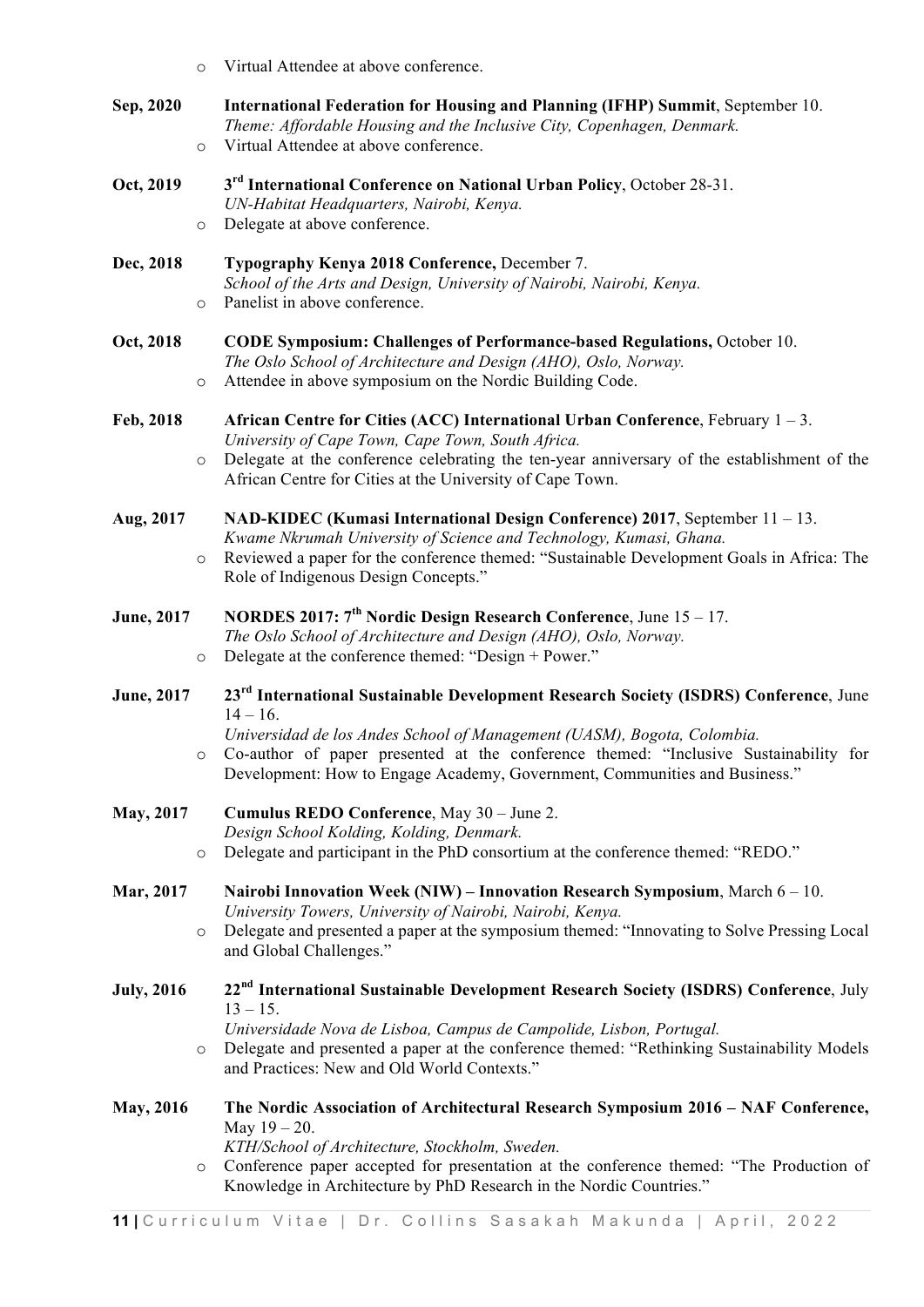| $\circ$                       | Virtual Attendee at above conference.                                                                                                                                                                                                                                                                                                                              |
|-------------------------------|--------------------------------------------------------------------------------------------------------------------------------------------------------------------------------------------------------------------------------------------------------------------------------------------------------------------------------------------------------------------|
| Sep, 2020<br>$\circ$          | International Federation for Housing and Planning (IFHP) Summit, September 10.<br>Theme: Affordable Housing and the Inclusive City, Copenhagen, Denmark.<br>Virtual Attendee at above conference.                                                                                                                                                                  |
| Oct, 2019<br>$\circ$          | 3 <sup>rd</sup> International Conference on National Urban Policy, October 28-31.<br>UN-Habitat Headquarters, Nairobi, Kenya.<br>Delegate at above conference.                                                                                                                                                                                                     |
| Dec, 2018<br>$\circ$          | Typography Kenya 2018 Conference, December 7.<br>School of the Arts and Design, University of Nairobi, Nairobi, Kenya.<br>Panelist in above conference.                                                                                                                                                                                                            |
| Oct, 2018<br>$\circ$          | <b>CODE Symposium: Challenges of Performance-based Regulations, October 10.</b><br>The Oslo School of Architecture and Design (AHO), Oslo, Norway.<br>Attendee in above symposium on the Nordic Building Code.                                                                                                                                                     |
| Feb, 2018<br>$\circ$          | African Centre for Cities (ACC) International Urban Conference, February $1 - 3$ .<br>University of Cape Town, Cape Town, South Africa.<br>Delegate at the conference celebrating the ten-year anniversary of the establishment of the<br>African Centre for Cities at the University of Cape Town.                                                                |
| Aug, 2017<br>$\circ$          | NAD-KIDEC (Kumasi International Design Conference) 2017, September 11 – 13.<br>Kwame Nkrumah University of Science and Technology, Kumasi, Ghana.<br>Reviewed a paper for the conference themed: "Sustainable Development Goals in Africa: The<br>Role of Indigenous Design Concepts."                                                                             |
| <b>June</b> , 2017<br>$\circ$ | <b>NORDES 2017: 7<sup>th</sup> Nordic Design Research Conference</b> , June $15 - 17$ .<br>The Oslo School of Architecture and Design (AHO), Oslo, Norway.<br>Delegate at the conference themed: "Design + Power."                                                                                                                                                 |
| <b>June</b> , 2017            | 23 <sup>rd</sup> International Sustainable Development Research Society (ISDRS) Conference, June<br>$14 - 16$ .<br>Universidad de los Andes School of Management (UASM), Bogota, Colombia.<br>o Co-author of paper presented at the conference themed: "Inclusive Sustainability for<br>Development: How to Engage Academy, Government, Communities and Business." |
| <b>May, 2017</b><br>$\circ$   | Cumulus REDO Conference, May 30 - June 2.<br>Design School Kolding, Kolding, Denmark.<br>Delegate and participant in the PhD consortium at the conference themed: "REDO."                                                                                                                                                                                          |
| Mar, 2017<br>$\circ$          | Nairobi Innovation Week (NIW) - Innovation Research Symposium, March 6 - 10.<br>University Towers, University of Nairobi, Nairobi, Kenya.<br>Delegate and presented a paper at the symposium themed: "Innovating to Solve Pressing Local<br>and Global Challenges."                                                                                                |
| <b>July, 2016</b>             | 22 <sup>nd</sup> International Sustainable Development Research Society (ISDRS) Conference, July<br>$13 - 15$ .<br>Universidade Nova de Lisboa, Campus de Campolide, Lisbon, Portugal.                                                                                                                                                                             |
| $\circ$                       | Delegate and presented a paper at the conference themed: "Rethinking Sustainability Models<br>and Practices: New and Old World Contexts."                                                                                                                                                                                                                          |
| <b>May, 2016</b><br>$\circ$   | The Nordic Association of Architectural Research Symposium 2016 - NAF Conference,<br>May $19 - 20$ .<br>KTH/School of Architecture, Stockholm, Sweden.<br>Conference paper accepted for presentation at the conference themed: "The Production of<br>Knowledge in Architecture by PhD Research in the Nordic Countries."                                           |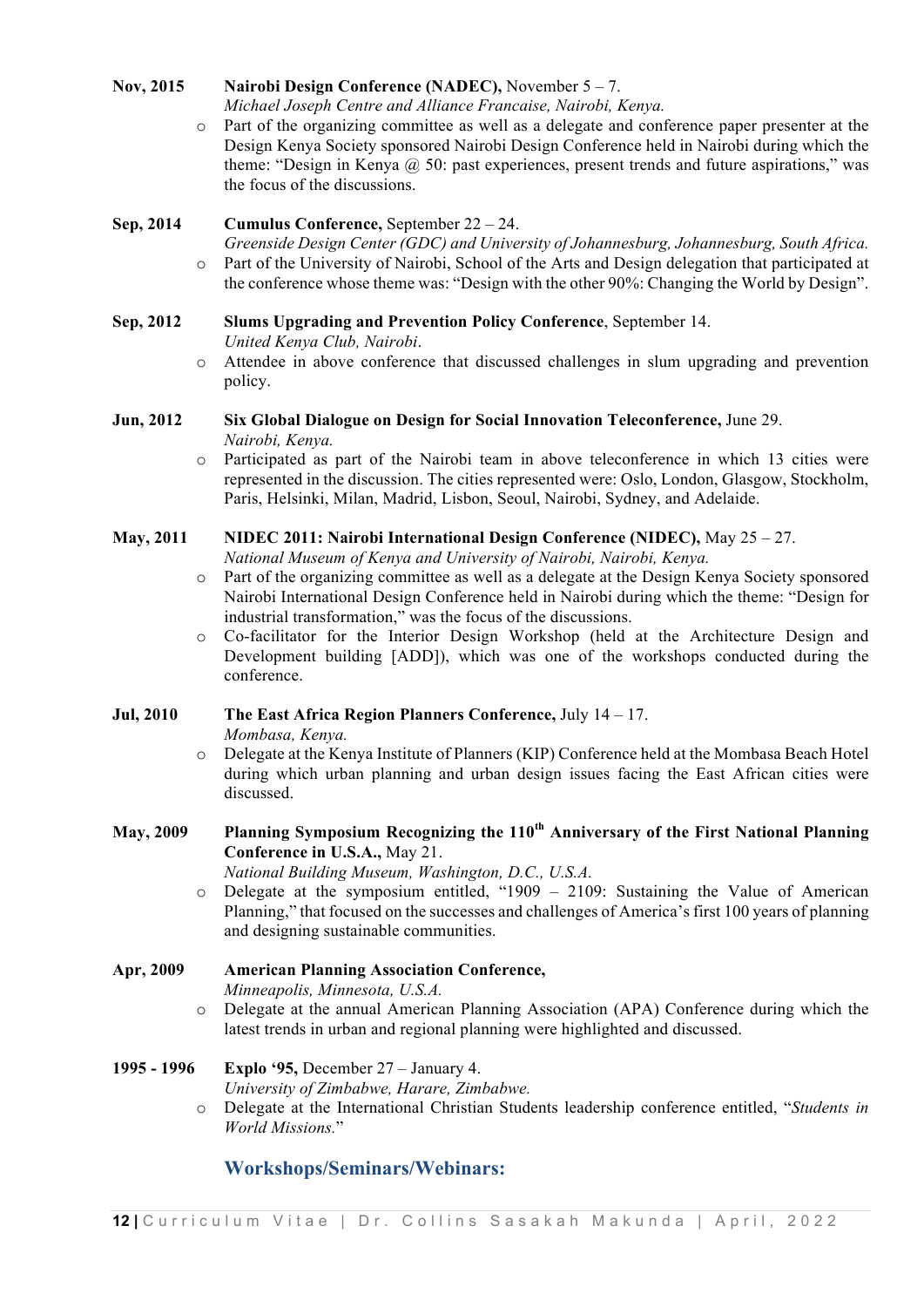#### **Nov, 2015 Nairobi Design Conference (NADEC),** November 5 – 7.

*Michael Joseph Centre and Alliance Francaise, Nairobi, Kenya.* 

o Part of the organizing committee as well as a delegate and conference paper presenter at the Design Kenya Society sponsored Nairobi Design Conference held in Nairobi during which the theme: "Design in Kenya  $\omega$  50: past experiences, present trends and future aspirations," was the focus of the discussions.

#### **Sep, 2014 Cumulus Conference,** September 22 – 24.

*Greenside Design Center (GDC) and University of Johannesburg, Johannesburg, South Africa.* o Part of the University of Nairobi, School of the Arts and Design delegation that participated at the conference whose theme was: "Design with the other 90%: Changing the World by Design".

#### **Sep, 2012 Slums Upgrading and Prevention Policy Conference**, September 14.

*United Kenya Club, Nairobi*.

o Attendee in above conference that discussed challenges in slum upgrading and prevention policy.

#### **Jun, 2012 Six Global Dialogue on Design for Social Innovation Teleconference,** June 29. *Nairobi, Kenya.*

o Participated as part of the Nairobi team in above teleconference in which 13 cities were represented in the discussion. The cities represented were: Oslo, London, Glasgow, Stockholm, Paris, Helsinki, Milan, Madrid, Lisbon, Seoul, Nairobi, Sydney, and Adelaide.

#### **May, 2011 NIDEC 2011: Nairobi International Design Conference (NIDEC),** May 25 – 27.

*National Museum of Kenya and University of Nairobi, Nairobi, Kenya.* 

- o Part of the organizing committee as well as a delegate at the Design Kenya Society sponsored Nairobi International Design Conference held in Nairobi during which the theme: "Design for industrial transformation," was the focus of the discussions.
- o Co-facilitator for the Interior Design Workshop (held at the Architecture Design and Development building [ADD]), which was one of the workshops conducted during the conference.

#### **Jul, 2010 The East Africa Region Planners Conference,** July 14 – 17.

*Mombasa, Kenya.*

o Delegate at the Kenya Institute of Planners (KIP) Conference held at the Mombasa Beach Hotel during which urban planning and urban design issues facing the East African cities were discussed.

### **May, 2009 Planning Symposium Recognizing the 110th Anniversary of the First National Planning Conference in U.S.A.,** May 21.

*National Building Museum, Washington, D.C., U.S.A.*

o Delegate at the symposium entitled, "1909 – 2109: Sustaining the Value of American Planning," that focused on the successes and challenges of America's first 100 years of planning and designing sustainable communities.

# **Apr, 2009 American Planning Association Conference,**  *Minneapolis, Minnesota, U.S.A.*

o Delegate at the annual American Planning Association (APA) Conference during which the latest trends in urban and regional planning were highlighted and discussed.

#### **1995 - 1996 Explo '95,** December 27 – January 4.

- *University of Zimbabwe, Harare, Zimbabwe.*
- o Delegate at the International Christian Students leadership conference entitled, "*Students in World Missions.*"

# **Workshops/Seminars/Webinars:**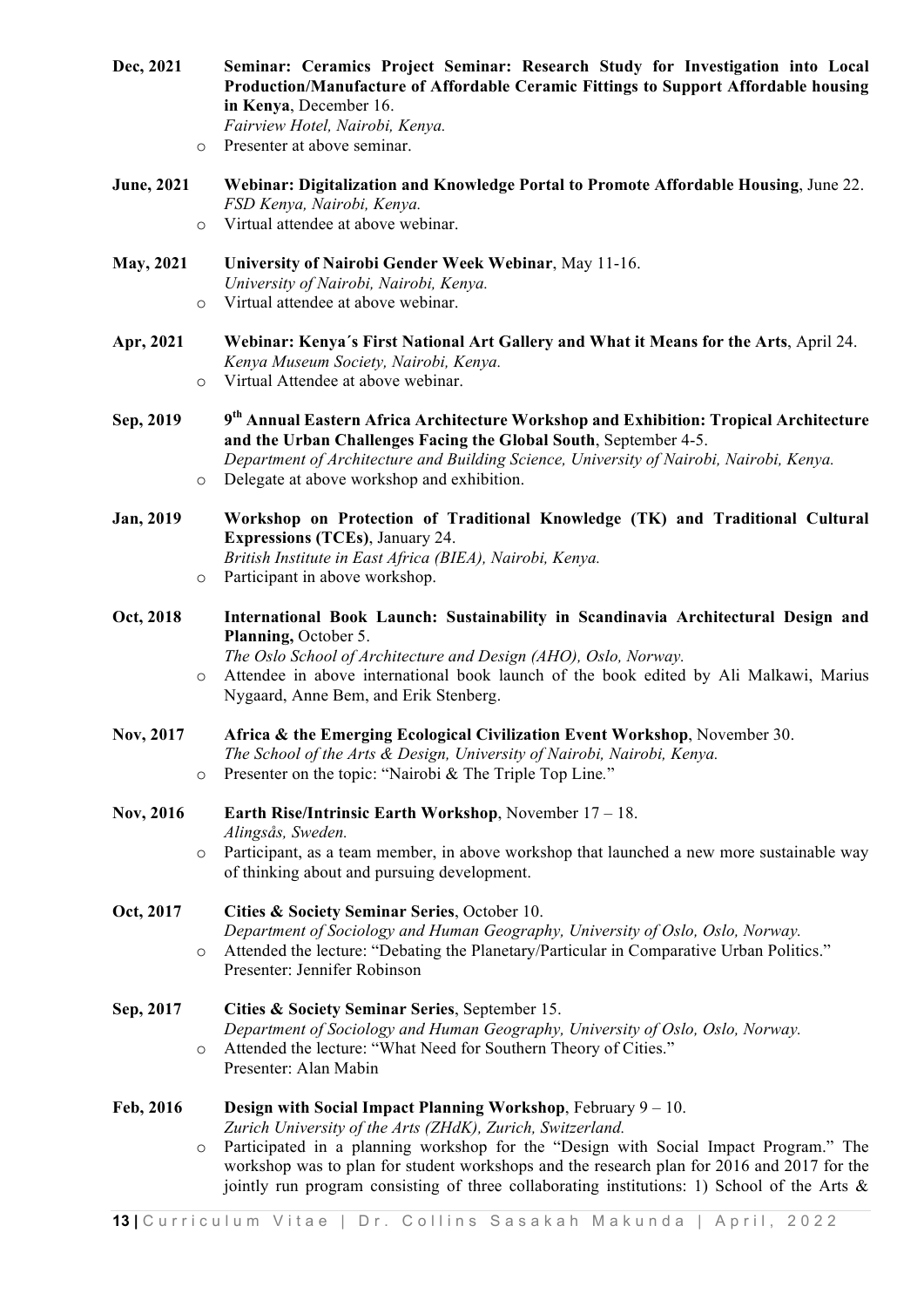| Dec, 2021 | Seminar: Ceramics Project Seminar: Research Study for Investigation into Local      |
|-----------|-------------------------------------------------------------------------------------|
|           | Production/Manufacture of Affordable Ceramic Fittings to Support Affordable housing |
|           | in Kenya, December 16.                                                              |
|           | Fairview Hotel, Nairobi, Kenya.                                                     |
|           | o Presenter at above seminar.                                                       |

- **June, 2021 Webinar: Digitalization and Knowledge Portal to Promote Affordable Housing**, June 22. *FSD Kenya, Nairobi, Kenya.*
	- o Virtual attendee at above webinar.
- **May, 2021 University of Nairobi Gender Week Webinar**, May 11-16. *University of Nairobi, Nairobi, Kenya.* o Virtual attendee at above webinar.
- **Apr, 2021 Webinar: Kenya´s First National Art Gallery and What it Means for the Arts**, April 24. *Kenya Museum Society, Nairobi, Kenya.*
	- o Virtual Attendee at above webinar.
- **Sep, 2019 9th Annual Eastern Africa Architecture Workshop and Exhibition: Tropical Architecture and the Urban Challenges Facing the Global South**, September 4-5.
	- *Department of Architecture and Building Science, University of Nairobi, Nairobi, Kenya.*
	- o Delegate at above workshop and exhibition.
- **Jan, 2019 Workshop on Protection of Traditional Knowledge (TK) and Traditional Cultural Expressions (TCEs)**, January 24. *British Institute in East Africa (BIEA), Nairobi, Kenya.*
	- o Participant in above workshop.
- **Oct, 2018 International Book Launch: Sustainability in Scandinavia Architectural Design and Planning,** October 5.

*The Oslo School of Architecture and Design (AHO), Oslo, Norway.* o Attendee in above international book launch of the book edited by Ali Malkawi, Marius Nygaard, Anne Bem, and Erik Stenberg.

- **Nov, 2017 Africa & the Emerging Ecological Civilization Event Workshop**, November 30. *The School of the Arts & Design, University of Nairobi, Nairobi, Kenya.* o Presenter on the topic: "Nairobi & The Triple Top Line*.*"
- **Nov, 2016 Earth Rise/Intrinsic Earth Workshop**, November 17 18. *Alingsås, Sweden.*
	- o Participant, as a team member, in above workshop that launched a new more sustainable way of thinking about and pursuing development.

#### **Oct, 2017 Cities & Society Seminar Series**, October 10. *Department of Sociology and Human Geography, University of Oslo, Oslo, Norway.* o Attended the lecture: "Debating the Planetary/Particular in Comparative Urban Politics." Presenter: Jennifer Robinson

**Sep, 2017 Cities & Society Seminar Series**, September 15. *Department of Sociology and Human Geography, University of Oslo, Oslo, Norway.* o Attended the lecture: "What Need for Southern Theory of Cities." Presenter: Alan Mabin

#### **Feb, 2016 Design with Social Impact Planning Workshop**, February 9 – 10.

*Zurich University of the Arts (ZHdK), Zurich, Switzerland.* 

o Participated in a planning workshop for the "Design with Social Impact Program." The workshop was to plan for student workshops and the research plan for 2016 and 2017 for the jointly run program consisting of three collaborating institutions: 1) School of the Arts  $\&$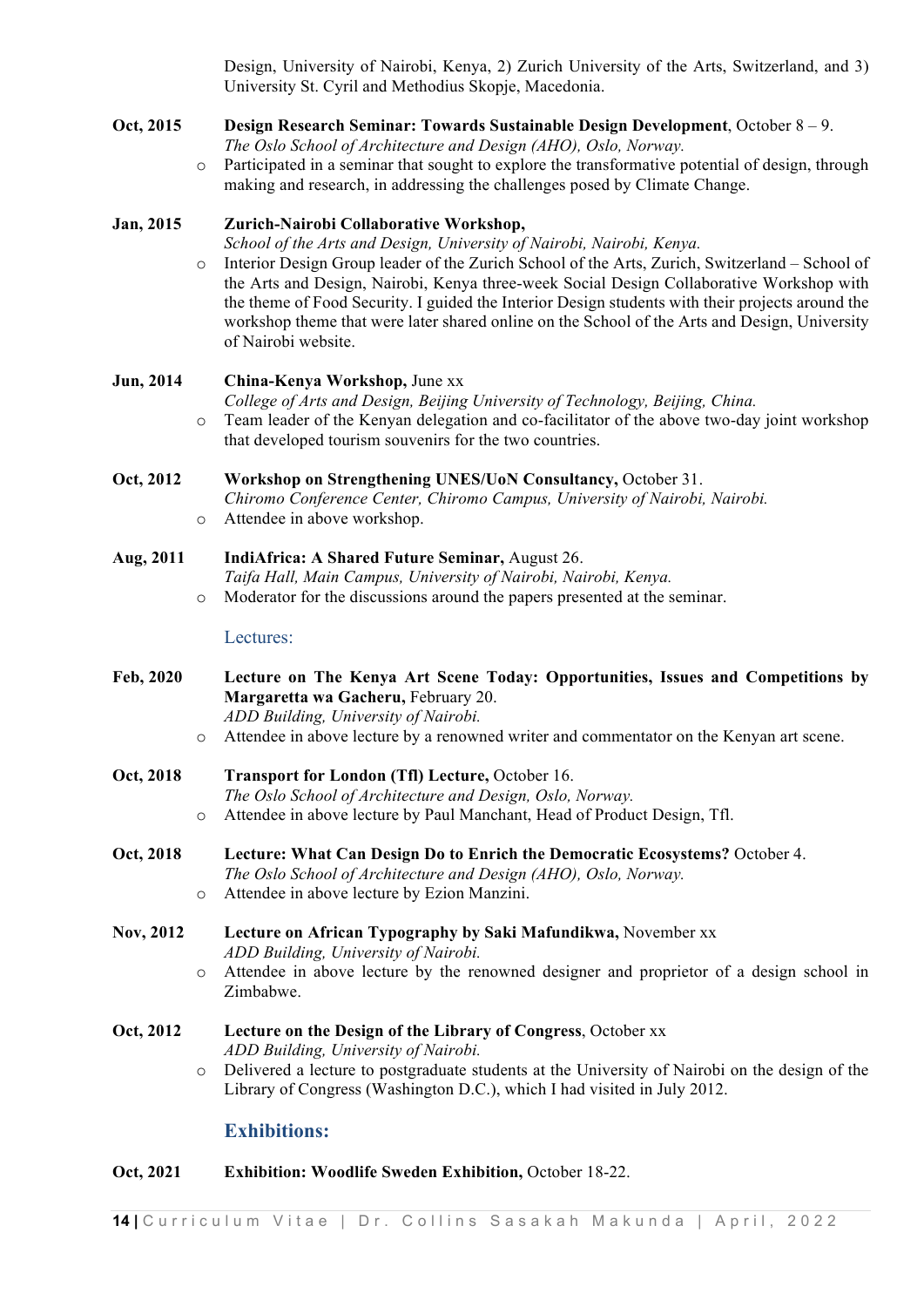Design, University of Nairobi, Kenya, 2) Zurich University of the Arts, Switzerland, and 3) University St. Cyril and Methodius Skopje, Macedonia.

#### **Oct, 2015 Design Research Seminar: Towards Sustainable Design Development**, October 8 – 9. *The Oslo School of Architecture and Design (AHO), Oslo, Norway.*

 $\circ$  Participated in a seminar that sought to explore the transformative potential of design, through making and research, in addressing the challenges posed by Climate Change.

#### **Jan, 2015 Zurich-Nairobi Collaborative Workshop,**

*School of the Arts and Design, University of Nairobi, Nairobi, Kenya.* 

o Interior Design Group leader of the Zurich School of the Arts, Zurich, Switzerland – School of the Arts and Design, Nairobi, Kenya three-week Social Design Collaborative Workshop with the theme of Food Security. I guided the Interior Design students with their projects around the workshop theme that were later shared online on the School of the Arts and Design, University of Nairobi website.

#### **Jun, 2014 China-Kenya Workshop,** June xx

*College of Arts and Design, Beijing University of Technology, Beijing, China.*  o Team leader of the Kenyan delegation and co-facilitator of the above two-day joint workshop

that developed tourism souvenirs for the two countries.

#### **Oct, 2012 Workshop on Strengthening UNES/UoN Consultancy,** October 31.

*Chiromo Conference Center, Chiromo Campus, University of Nairobi, Nairobi.*  o Attendee in above workshop.

# **Aug, 2011 IndiAfrica: A Shared Future Seminar,** August 26.

*Taifa Hall, Main Campus, University of Nairobi, Nairobi, Kenya.* o Moderator for the discussions around the papers presented at the seminar.

#### Lectures:

- **Feb, 2020 Lecture on The Kenya Art Scene Today: Opportunities, Issues and Competitions by Margaretta wa Gacheru,** February 20. *ADD Building, University of Nairobi.*
	- o Attendee in above lecture by a renowned writer and commentator on the Kenyan art scene.
- **Oct, 2018 Transport for London (Tfl) Lecture,** October 16. *The Oslo School of Architecture and Design, Oslo, Norway.* o Attendee in above lecture by Paul Manchant, Head of Product Design, Tfl.
- **Oct, 2018 Lecture: What Can Design Do to Enrich the Democratic Ecosystems?** October 4. *The Oslo School of Architecture and Design (AHO), Oslo, Norway.* o Attendee in above lecture by Ezion Manzini.

#### **Nov, 2012 Lecture on African Typography by Saki Mafundikwa,** November xx *ADD Building, University of Nairobi.* o Attendee in above lecture by the renowned designer and proprietor of a design school in

# Zimbabwe.

#### **Oct, 2012 Lecture on the Design of the Library of Congress**, October xx *ADD Building, University of Nairobi.*

o Delivered a lecture to postgraduate students at the University of Nairobi on the design of the Library of Congress (Washington D.C.), which I had visited in July 2012.

### **Exhibitions:**

#### **Oct, 2021 Exhibition: Woodlife Sweden Exhibition,** October 18-22.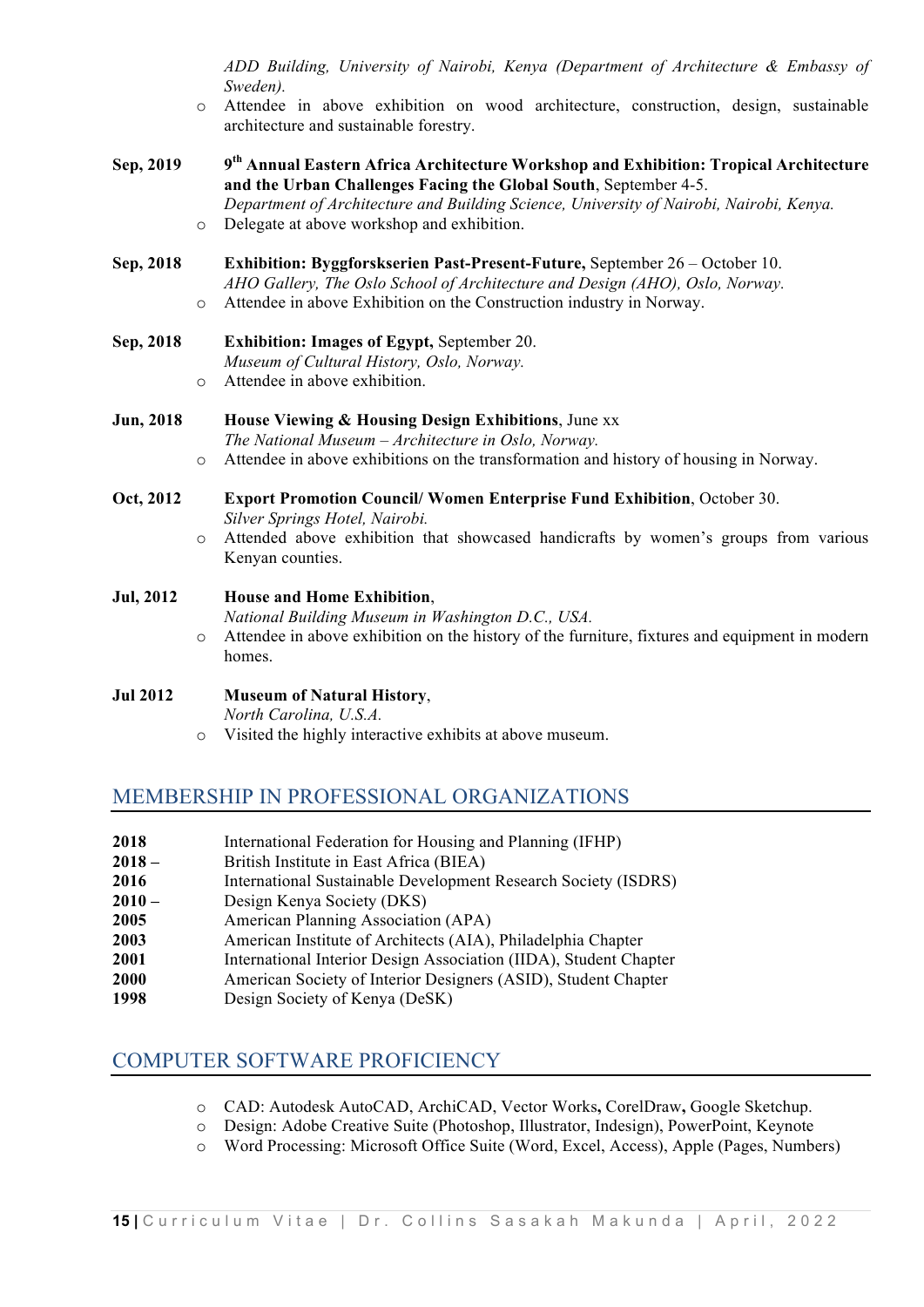*ADD Building, University of Nairobi, Kenya (Department of Architecture & Embassy of Sweden).*

- o Attendee in above exhibition on wood architecture, construction, design, sustainable architecture and sustainable forestry.
- **Sep, 2019 9th Annual Eastern Africa Architecture Workshop and Exhibition: Tropical Architecture and the Urban Challenges Facing the Global South**, September 4-5. *Department of Architecture and Building Science, University of Nairobi, Nairobi, Kenya.*
	- o Delegate at above workshop and exhibition.
- **Sep, 2018 Exhibition: Byggforskserien Past-Present-Future,** September 26 October 10. *AHO Gallery, The Oslo School of Architecture and Design (AHO), Oslo, Norway.* o Attendee in above Exhibition on the Construction industry in Norway.
- **Sep, 2018 Exhibition: Images of Egypt,** September 20. *Museum of Cultural History, Oslo, Norway.* o Attendee in above exhibition.
- **Jun, 2018 House Viewing & Housing Design Exhibitions**, June xx *The National Museum – Architecture in Oslo, Norway.*
	- o Attendee in above exhibitions on the transformation and history of housing in Norway.
- **Oct, 2012 Export Promotion Council/ Women Enterprise Fund Exhibition**, October 30. *Silver Springs Hotel, Nairobi.*
	- o Attended above exhibition that showcased handicrafts by women's groups from various Kenyan counties.

#### **Jul, 2012 House and Home Exhibition**,

*National Building Museum in Washington D.C., USA.*

o Attendee in above exhibition on the history of the furniture, fixtures and equipment in modern homes.

#### **Jul 2012 Museum of Natural History**,

*North Carolina, U.S.A.*

o Visited the highly interactive exhibits at above museum.

# MEMBERSHIP IN PROFESSIONAL ORGANIZATIONS

- **2018** International Federation for Housing and Planning (IFHP)
- **2018** British Institute in East Africa (BIEA)
- **2016** International Sustainable Development Research Society (ISDRS)
- **2010** Design Kenya Society (DKS)
- **2005** American Planning Association (APA)
- **2003** American Institute of Architects (AIA), Philadelphia Chapter
- **2001** International Interior Design Association (IIDA), Student Chapter
- **2000** American Society of Interior Designers (ASID), Student Chapter
- **1998** Design Society of Kenya (DeSK)

# COMPUTER SOFTWARE PROFICIENCY

- o CAD: Autodesk AutoCAD, ArchiCAD, Vector Works**,** CorelDraw**,** Google Sketchup.
- o Design: Adobe Creative Suite (Photoshop, Illustrator, Indesign), PowerPoint, Keynote
- o Word Processing: Microsoft Office Suite (Word, Excel, Access), Apple (Pages, Numbers)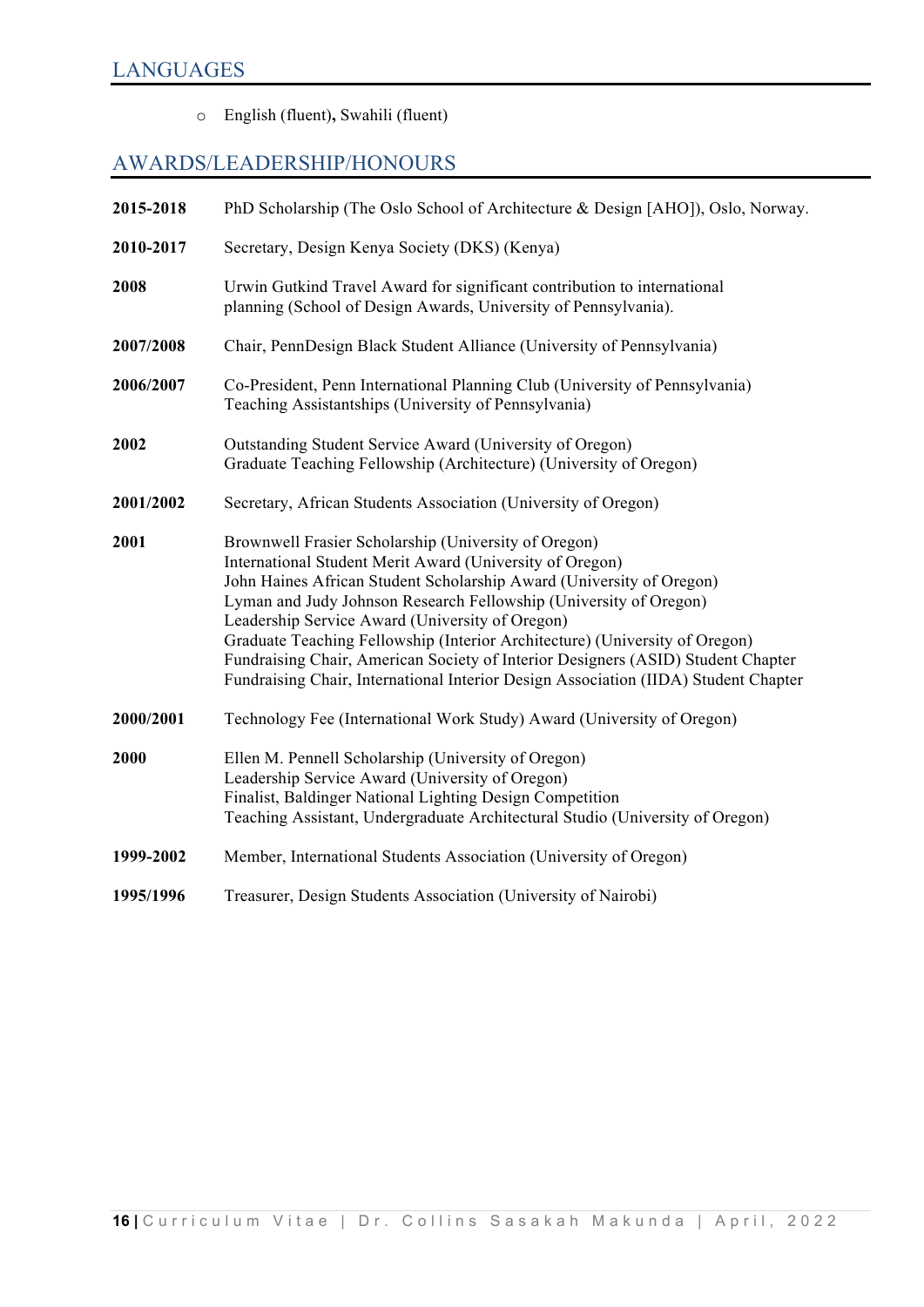o English (fluent)**,** Swahili (fluent)

# AWARDS/LEADERSHIP/HONOURS

| 2015-2018 | PhD Scholarship (The Oslo School of Architecture & Design [AHO]), Oslo, Norway.                                                                                                                                                                                                                                                                                                                                                                                                                                                                                            |
|-----------|----------------------------------------------------------------------------------------------------------------------------------------------------------------------------------------------------------------------------------------------------------------------------------------------------------------------------------------------------------------------------------------------------------------------------------------------------------------------------------------------------------------------------------------------------------------------------|
| 2010-2017 | Secretary, Design Kenya Society (DKS) (Kenya)                                                                                                                                                                                                                                                                                                                                                                                                                                                                                                                              |
| 2008      | Urwin Gutkind Travel Award for significant contribution to international<br>planning (School of Design Awards, University of Pennsylvania).                                                                                                                                                                                                                                                                                                                                                                                                                                |
| 2007/2008 | Chair, PennDesign Black Student Alliance (University of Pennsylvania)                                                                                                                                                                                                                                                                                                                                                                                                                                                                                                      |
| 2006/2007 | Co-President, Penn International Planning Club (University of Pennsylvania)<br>Teaching Assistantships (University of Pennsylvania)                                                                                                                                                                                                                                                                                                                                                                                                                                        |
| 2002      | Outstanding Student Service Award (University of Oregon)<br>Graduate Teaching Fellowship (Architecture) (University of Oregon)                                                                                                                                                                                                                                                                                                                                                                                                                                             |
| 2001/2002 | Secretary, African Students Association (University of Oregon)                                                                                                                                                                                                                                                                                                                                                                                                                                                                                                             |
| 2001      | Brownwell Frasier Scholarship (University of Oregon)<br>International Student Merit Award (University of Oregon)<br>John Haines African Student Scholarship Award (University of Oregon)<br>Lyman and Judy Johnson Research Fellowship (University of Oregon)<br>Leadership Service Award (University of Oregon)<br>Graduate Teaching Fellowship (Interior Architecture) (University of Oregon)<br>Fundraising Chair, American Society of Interior Designers (ASID) Student Chapter<br>Fundraising Chair, International Interior Design Association (IIDA) Student Chapter |
| 2000/2001 | Technology Fee (International Work Study) Award (University of Oregon)                                                                                                                                                                                                                                                                                                                                                                                                                                                                                                     |
| 2000      | Ellen M. Pennell Scholarship (University of Oregon)<br>Leadership Service Award (University of Oregon)<br>Finalist, Baldinger National Lighting Design Competition<br>Teaching Assistant, Undergraduate Architectural Studio (University of Oregon)                                                                                                                                                                                                                                                                                                                        |
| 1999-2002 | Member, International Students Association (University of Oregon)                                                                                                                                                                                                                                                                                                                                                                                                                                                                                                          |
| 1995/1996 | Treasurer, Design Students Association (University of Nairobi)                                                                                                                                                                                                                                                                                                                                                                                                                                                                                                             |